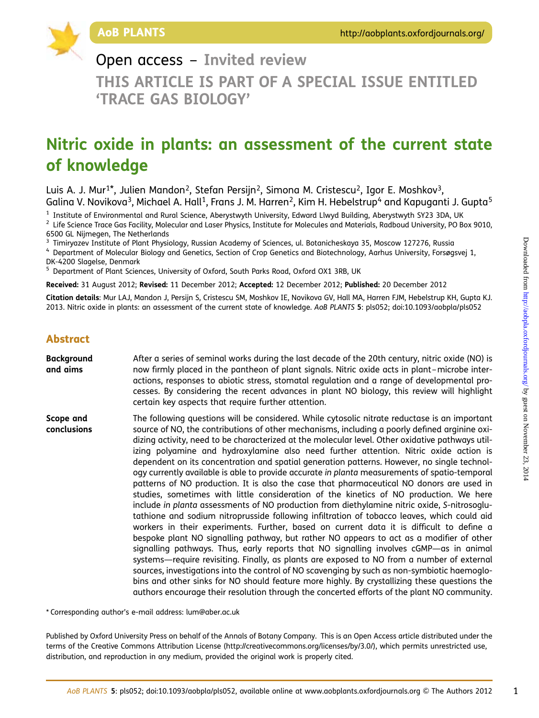

Open access – Invited review

THIS ARTICLE IS PART OF A SPECIAL ISSUE ENTITLED 'TRACE GAS BIOLOGY'

# Nitric oxide in plants: an assessment of the current state of knowledge

Luis A. J. Mur<sup>1\*</sup>, Julien Mandon<sup>2</sup>, Stefan Persijn<sup>2</sup>, Simona M. Cristescu<sup>2</sup>, Igor E. Moshkov<sup>3</sup>, Galina V. Novikova<sup>3</sup>, Michael A. Hall<sup>1</sup>, Frans J. M. Harren<sup>2</sup>, Kim H. Hebelstrup<sup>4</sup> and Kapuganti J. Gupta<sup>5</sup>

<sup>1</sup> Institute of Environmental and Rural Science, Aberystwyth University, Edward Llwyd Building, Aberystwyth SY23 3DA, UK<br><sup>2</sup> Life Science Trace Gas Facility, Molecular and Laser Physics, Institute for Molecules and Mater

6500 GL Nijmegen, The Netherlands<br><sup>3</sup> Timiryazev Institute of Plant Physiology, Russian Academy of Sciences, ul. Botanicheskaya 35, Moscow 127276, Russia

<sup>4</sup> Department of Molecular Biology and Genetics, Section of Crop Genetics and Biotechnology, Aarhus University, Forsøgsvej 1, DK-4200 Slagelse, Denmark

<sup>5</sup> Department of Plant Sciences, University of Oxford, South Parks Road, Oxford OX1 3RB, UK

Received: 31 August 2012; Revised: 11 December 2012; Accepted: 12 December 2012; Published: 20 December 2012

Citation details: Mur LAJ, Mandon J, Persijn S, Cristescu SM, Moshkov IE, Novikova GV, Hall MA, Harren FJM, Hebelstrup KH, Gupta KJ. 2013. Nitric oxide in plants: an assessment of the current state of knowledge. AoB PLANTS 5: pls052; doi:10.1093/aobpla/pls052

# Abstract

- **Backaround** and aims After a series of seminal works during the last decade of the 20th century, nitric oxide (NO) is now firmly placed in the pantheon of plant signals. Nitric oxide acts in plant–microbe interactions, responses to abiotic stress, stomatal regulation and a range of developmental processes. By considering the recent advances in plant NO biology, this review will highlight certain key aspects that require further attention.
- Scope and conclusions The following questions will be considered. While cytosolic nitrate reductase is an important source of NO, the contributions of other mechanisms, including a poorly defined arginine oxidizing activity, need to be characterized at the molecular level. Other oxidative pathways utilizing polyamine and hydroxylamine also need further attention. Nitric oxide action is dependent on its concentration and spatial generation patterns. However, no single technology currently available is able to provide accurate in planta measurements of spatio-temporal patterns of NO production. It is also the case that pharmaceutical NO donors are used in studies, sometimes with little consideration of the kinetics of NO production. We here include in planta assessments of NO production from diethylamine nitric oxide, S-nitrosoglutathione and sodium nitroprusside following infiltration of tobacco leaves, which could aid workers in their experiments. Further, based on current data it is difficult to define a bespoke plant NO signalling pathway, but rather NO appears to act as a modifier of other signalling pathways. Thus, early reports that NO signalling involves cGMP—as in animal systems—require revisiting. Finally, as plants are exposed to NO from a number of external sources, investigations into the control of NO scavenging by such as non-symbiotic haemoglobins and other sinks for NO should feature more highly. By crystallizing these questions the authors encourage their resolution through the concerted efforts of the plant NO community.

\* Corresponding author's e-mail address: lum@aber.ac.uk

Published by Oxford University Press on behalf of the Annals of Botany Company. This is an Open Access article distributed under the terms of the Creative Commons Attribution License (http://creativecommons.org/licenses/by/3.0/), which permits unrestricted use, distribution, and reproduction in any medium, provided the original work is properly cited.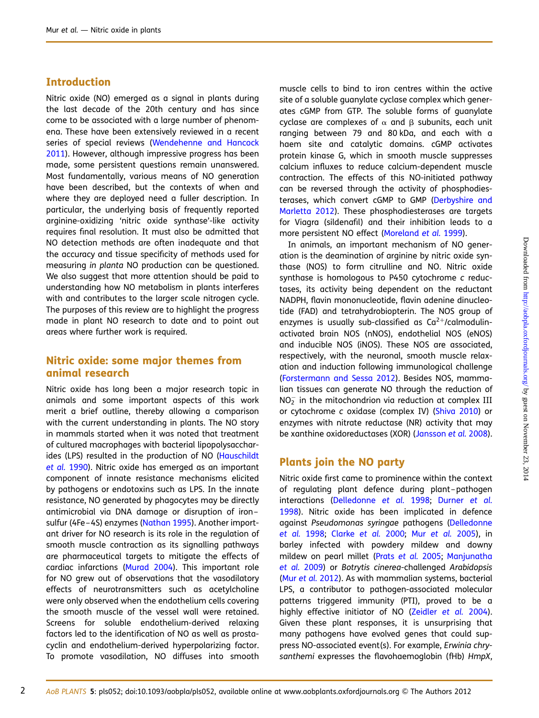# Introduction

Nitric oxide (NO) emerged as a signal in plants during the last decade of the 20th century and has since come to be associated with a large number of phenomena. These have been extensively reviewed in a recent series of special reviews [\(Wendehenne and Hancock](#page-16-0) [2011\)](#page-16-0). However, although impressive progress has been made, some persistent questions remain unanswered. Most fundamentally, various means of NO generation have been described, but the contexts of when and where they are deployed need a fuller description. In particular, the underlying basis of frequently reported arginine-oxidizing 'nitric oxide synthase'-like activity requires final resolution. It must also be admitted that NO detection methods are often inadequate and that the accuracy and tissue specificity of methods used for measuring in planta NO production can be questioned. We also suggest that more attention should be paid to understanding how NO metabolism in plants interferes with and contributes to the larger scale nitrogen cycle. The purposes of this review are to highlight the progress made in plant NO research to date and to point out areas where further work is required.

# Nitric oxide: some major themes from animal research

Nitric oxide has long been a major research topic in animals and some important aspects of this work merit a brief outline, thereby allowing a comparison with the current understanding in plants. The NO story in mammals started when it was noted that treatment of cultured macrophages with bacterial lipopolysaccharides (LPS) resulted in the production of NO [\(Hauschildt](#page-12-0) [et al.](#page-12-0) 1990). Nitric oxide has emerged as an important component of innate resistance mechanisms elicited by pathogens or endotoxins such as LPS. In the innate resistance, NO generated by phagocytes may be directly antimicrobial via DNA damage or disruption of iron– sulfur (4Fe-4S) enzymes ([Nathan 1995\)](#page-14-0). Another important driver for NO research is its role in the regulation of smooth muscle contraction as its signalling pathways are pharmaceutical targets to mitigate the effects of cardiac infarctions ([Murad 2004\)](#page-14-0). This important role for NO grew out of observations that the vasodilatory effects of neurotransmitters such as acetylcholine were only observed when the endothelium cells covering the smooth muscle of the vessel wall were retained. Screens for soluble endothelium-derived relaxing factors led to the identification of NO as well as prostacyclin and endothelium-derived hyperpolarizing factor. To promote vasodilation, NO diffuses into smooth

muscle cells to bind to iron centres within the active site of a soluble guanylate cyclase complex which generates cGMP from GTP. The soluble forms of guanylate cyclase are complexes of  $\alpha$  and  $\beta$  subunits, each unit ranging between 79 and 80 kDa, and each with a haem site and catalytic domains. cGMP activates protein kinase G, which in smooth muscle suppresses calcium influxes to reduce calcium-dependent muscle contraction. The effects of this NO-initiated pathway can be reversed through the activity of phosphodiesterases, which convert cGMP to GMP [\(Derbyshire and](#page-12-0) [Marletta 2012\)](#page-12-0). These phosphodiesterases are targets for Viagra (sildenafil) and their inhibition leads to a more persistent NO effect [\(Moreland](#page-14-0) et al. 1999).

In animals, an important mechanism of NO generation is the deamination of arginine by nitric oxide synthase (NOS) to form citrulline and NO. Nitric oxide synthase is homologous to P450 cytochrome c reductases, its activity being dependent on the reductant NADPH, flavin mononucleotide, flavin adenine dinucleotide (FAD) and tetrahydrobiopterin. The NOS group of enzymes is usually sub-classified as  $Ca^{2+}/cal$ lmodulinactivated brain NOS (nNOS), endothelial NOS (eNOS) and inducible NOS (iNOS). These NOS are associated, respectively, with the neuronal, smooth muscle relaxation and induction following immunological challenge ([Forstermann and Sessa 2012](#page-12-0)). Besides NOS, mammalian tissues can generate NO through the reduction of  $NO<sub>2</sub><sup>-</sup>$  in the mitochondrion via reduction at complex III or cytochrome c oxidase (complex IV) [\(Shiva 2010\)](#page-15-0) or enzymes with nitrate reductase (NR) activity that may be xanthine oxidoreductases (XOR) [\(Jansson](#page-13-0) et al. 2008).

# Plants join the NO party

Nitric oxide first came to prominence within the context of regulating plant defence during plant–pathogen interactions [\(Delledonne](#page-12-0) et al. 1998; [Durner](#page-12-0) et al. [1998\)](#page-12-0). Nitric oxide has been implicated in defence against Pseudomonas syringae pathogens [\(Delledonne](#page-12-0) [et al.](#page-12-0) 1998; [Clarke](#page-11-0) et al. 2000; Mur [et al.](#page-14-0) 2005), in barley infected with powdery mildew and downy mildew on pearl millet (Prats [et al.](#page-14-0) 2005; [Manjunatha](#page-13-0) [et al.](#page-13-0) 2009) or Botrytis cinerea-challenged Arabidopsis (Mur et al. [2012](#page-14-0)). As with mammalian systems, bacterial LPS, a contributor to pathogen-associated molecular patterns triggered immunity (PTI), proved to be a highly effective initiator of NO ([Zeidler](#page-16-0) et al. 2004). Given these plant responses, it is unsurprising that many pathogens have evolved genes that could suppress NO-associated event(s). For example, Erwinia chrysanthemi expresses the flavohaemoglobin (fHb) HmpX,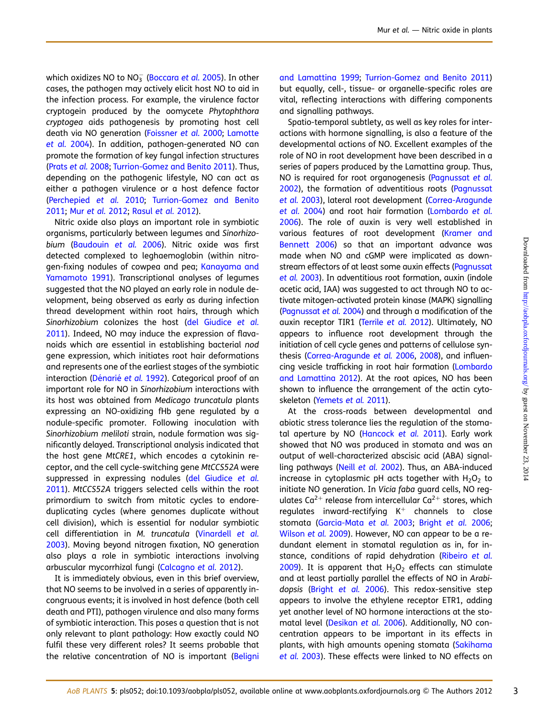which oxidizes NO to NO $_3^-$  ([Boccara](#page-11-0) et al. 2005). In other cases, the pathogen may actively elicit host NO to aid in the infection process. For example, the virulence factor cryptogein produced by the oomycete Phytophthora cryptogea aids pathogenesis by promoting host cell death via NO generation [\(Foissner](#page-12-0) et al. 2000; [Lamotte](#page-13-0) [et al.](#page-13-0) 2004). In addition, pathogen-generated NO can promote the formation of key fungal infection structures (Prats et al. [2008;](#page-14-0) [Turrion-Gomez and Benito 2011\)](#page-15-0). Thus, depending on the pathogenic lifestyle, NO can act as either a pathogen virulence or a host defence factor [\(Perchepied](#page-14-0) et al. 2010; [Turrion-Gomez and Benito](#page-15-0) [2011;](#page-15-0) Mur [et al.](#page-14-0) 2012; [Rasul](#page-14-0) et al. 2012).

Nitric oxide also plays an important role in symbiotic organisms, particularly between legumes and Sinorhizobium [\(Baudouin](#page-11-0) et al. 2006). Nitric oxide was first detected complexed to leghaemoglobin (within nitrogen-fixing nodules of cowpea and pea; [Kanayama and](#page-13-0) [Yamamoto 1991](#page-13-0)). Transcriptional analyses of legumes suggested that the NO played an early role in nodule development, being observed as early as during infection thread development within root hairs, through which Sinorhizobium colonizes the host ([del Giudice](#page-12-0) et al. [2011\)](#page-12-0). Indeed, NO may induce the expression of flavanoids which are essential in establishing bacterial nod gene expression, which initiates root hair deformations and represents one of the earliest stages of the symbiotic interaction (Dénarié et al. 1992). Categorical proof of an important role for NO in Sinorhizobium interactions with its host was obtained from Medicago truncatula plants expressing an NO-oxidizing fHb gene regulated by a nodule-specific promoter. Following inoculation with Sinorhizobium meliloti strain, nodule formation was significantly delayed. Transcriptional analysis indicated that the host gene MtCRE1, which encodes a cytokinin receptor, and the cell cycle-switching gene MtCCS52A were suppressed in expressing nodules [\(del Giudice](#page-12-0) et al. [2011\)](#page-12-0). MtCCS52A triggers selected cells within the root primordium to switch from mitotic cycles to endoreduplicating cycles (where genomes duplicate without cell division), which is essential for nodular symbiotic cell differentiation in M. truncatula ([Vinardell](#page-15-0) et al. [2003\)](#page-15-0). Moving beyond nitrogen fixation, NO generation also plays a role in symbiotic interactions involving arbuscular mycorrhizal fungi [\(Calcagno](#page-11-0) et al. 2012).

It is immediately obvious, even in this brief overview, that NO seems to be involved in a series of apparently incongruous events; it is involved in host defence (both cell death and PTI), pathogen virulence and also many forms of symbiotic interaction. This poses a question that is not only relevant to plant pathology: How exactly could NO fulfil these very different roles? It seems probable that the relative concentration of NO is important ([Beligni](#page-11-0)

[and Lamattina 1999](#page-11-0); [Turrion-Gomez and Benito 2011](#page-15-0)) but equally, cell-, tissue- or organelle-specific roles are vital, reflecting interactions with differing components and signalling pathways.

Spatio-temporal subtlety, as well as key roles for interactions with hormone signalling, is also a feature of the developmental actions of NO. Excellent examples of the role of NO in root development have been described in a series of papers produced by the Lamattina group. Thus, NO is required for root organogenesis [\(Pagnussat](#page-14-0) et al. [2002\)](#page-14-0), the formation of adventitious roots ([Pagnussat](#page-14-0) et al. [2003\)](#page-14-0), lateral root development [\(Correa-Aragunde](#page-11-0) [et al.](#page-11-0) 2004) and root hair formation [\(Lombardo](#page-13-0) et al. [2006\)](#page-13-0). The role of auxin is very well established in various features of root development [\(Kramer and](#page-13-0) [Bennett 2006\)](#page-13-0) so that an important advance was made when NO and cGMP were implicated as downstream effectors of at least some auxin effects [\(Pagnussat](#page-14-0) et al. [2003\)](#page-14-0). In adventitious root formation, auxin (indole acetic acid, IAA) was suggested to act through NO to activate mitogen-activated protein kinase (MAPK) signalling ([Pagnussat](#page-14-0) et al. 2004) and through a modification of the auxin receptor TIR1 [\(Terrile](#page-15-0) et al. 2012). Ultimately, NO appears to influence root development through the initiation of cell cycle genes and patterns of cellulose synthesis [\(Correa-Aragunde](#page-11-0) et al. 2006, [2008](#page-11-0)), and influencing vesicle trafficking in root hair formation ([Lombardo](#page-13-0) [and Lamattina 2012](#page-13-0)). At the root apices, NO has been shown to influence the arrangement of the actin cytoskeleton [\(Yemets](#page-16-0) et al. 2011).

At the cross-roads between developmental and abiotic stress tolerance lies the regulation of the stoma-tal aperture by NO [\(Hancock](#page-12-0) et al. 2011). Early work showed that NO was produced in stomata and was an output of well-characterized abscisic acid (ABA) signalling pathways (Neill [et al.](#page-14-0) 2002). Thus, an ABA-induced increase in cytoplasmic pH acts together with  $H_2O_2$  to initiate NO generation. In Vicia faba guard cells, NO regulates Ca<sup>2+</sup> release from intercellular Ca<sup>2+</sup> stores, which regulates inward-rectifying  $K^+$  channels to close stomata ([Garcia-Mata](#page-12-0) et al. 2003; [Bright](#page-11-0) et al. 2006; [Wilson](#page-16-0) et al. 2009). However, NO can appear to be a redundant element in stomatal regulation as in, for in-stance, conditions of rapid dehydration [\(Ribeiro](#page-14-0) et al. [2009\)](#page-14-0). It is apparent that  $H_2O_2$  effects can stimulate and at least partially parallel the effects of NO in Arabi-dopsis ([Bright](#page-11-0) et al. 2006). This redox-sensitive step appears to involve the ethylene receptor ETR1, adding yet another level of NO hormone interactions at the stomatal level ([Desikan](#page-12-0) et al. 2006). Additionally, NO concentration appears to be important in its effects in plants, with high amounts opening stomata [\(Sakihama](#page-15-0) [et al.](#page-15-0) 2003). These effects were linked to NO effects on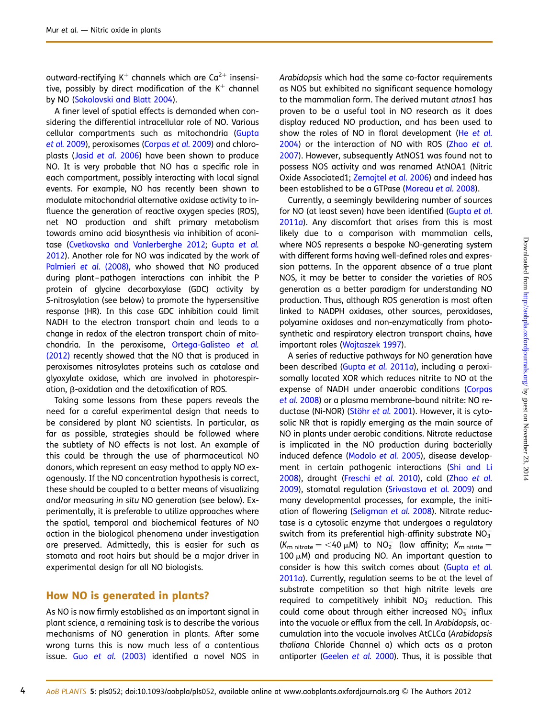outward-rectifying  $K^+$  channels which are Ca<sup>2+</sup> insensitive, possibly by direct modification of the  $K^+$  channel by NO ([Sokolovski and Blatt 2004\)](#page-15-0).

A finer level of spatial effects is demanded when considering the differential intracellular role of NO. Various cellular compartments such as mitochondria [\(Gupta](#page-12-0) et al. [2009](#page-12-0)), peroxisomes ([Corpas](#page-11-0) et al. 2009) and chloroplasts (Jasid [et al.](#page-13-0) 2006) have been shown to produce NO. It is very probable that NO has a specific role in each compartment, possibly interacting with local signal events. For example, NO has recently been shown to modulate mitochondrial alternative oxidase activity to influence the generation of reactive oxygen species (ROS), net NO production and shift primary metabolism towards amino acid biosynthesis via inhibition of aconitase [\(Cvetkovska and Vanlerberghe 2012;](#page-12-0) [Gupta](#page-12-0) et al. [2012\)](#page-12-0). Another role for NO was indicated by the work of [Palmieri](#page-14-0) et al. (2008), who showed that NO produced during plant–pathogen interactions can inhibit the P protein of glycine decarboxylase (GDC) activity by S-nitrosylation (see below) to promote the hypersensitive response (HR). In this case GDC inhibition could limit NADH to the electron transport chain and leads to a change in redox of the electron transport chain of mitochondria. In the peroxisome, [Ortega-Galisteo](#page-14-0) et al. [\(2012\)](#page-14-0) recently showed that the NO that is produced in peroxisomes nitrosylates proteins such as catalase and glyoxylate oxidase, which are involved in photorespiration, b-oxidation and the detoxification of ROS.

Taking some lessons from these papers reveals the need for a careful experimental design that needs to be considered by plant NO scientists. In particular, as far as possible, strategies should be followed where the subtlety of NO effects is not lost. An example of this could be through the use of pharmaceutical NO donors, which represent an easy method to apply NO exogenously. If the NO concentration hypothesis is correct, these should be coupled to a better means of visualizing and/or measuring in situ NO generation (see below). Experimentally, it is preferable to utilize approaches where the spatial, temporal and biochemical features of NO action in the biological phenomena under investigation are preserved. Admittedly, this is easier for such as stomata and root hairs but should be a major driver in experimental design for all NO biologists.

#### How NO is generated in plants?

As NO is now firmly established as an important signal in plant science, a remaining task is to describe the various mechanisms of NO generation in plants. After some wrong turns this is now much less of a contentious issue. Guo et al. [\(2003\)](#page-12-0) identified a novel NOS in Arabidopsis which had the same co-factor requirements as NOS but exhibited no significant sequence homology to the mammalian form. The derived mutant atnos1 has proven to be a useful tool in NO research as it does display reduced NO production, and has been used to show the roles of NO in floral development (He [et al.](#page-13-0) [2004\)](#page-13-0) or the interaction of NO with ROS (Zhao [et al.](#page-16-0) [2007\)](#page-16-0). However, subsequently AtNOS1 was found not to possess NOS activity and was renamed AtNOA1 (Nitric Oxide Associated1; [Zemojtel](#page-16-0) et al. 2006) and indeed has been established to be a GTPase [\(Moreau](#page-13-0) et al. 2008).

Currently, a seemingly bewildering number of sources for NO (at least seven) have been identified [\(Gupta](#page-12-0) et al. [2011](#page-12-0)a). Any discomfort that arises from this is most likely due to a comparison with mammalian cells, where NOS represents a bespoke NO-generating system with different forms having well-defined roles and expression patterns. In the apparent absence of a true plant NOS, it may be better to consider the varieties of ROS generation as a better paradigm for understanding NO production. Thus, although ROS generation is most often linked to NADPH oxidases, other sources, peroxidases, polyamine oxidases and non-enzymatically from photosynthetic and respiratory electron transport chains, have important roles [\(Wojtaszek 1997\)](#page-16-0).

A series of reductive pathways for NO generation have been described ([Gupta](#page-12-0) et al. 2011a), including a peroxisomally located XOR which reduces nitrite to NO at the expense of NADH under anaerobic conditions [\(Corpas](#page-11-0) et al. [2008\)](#page-11-0) or a plasma membrane-bound nitrite: NO reductase (Ni-NOR) (Stöhr et al. 2001). However, it is cytosolic NR that is rapidly emerging as the main source of NO in plants under aerobic conditions. Nitrate reductase is implicated in the NO production during bacterially induced defence [\(Modolo](#page-13-0) et al. 2005), disease development in certain pathogenic interactions ([Shi and Li](#page-15-0) [2008\)](#page-15-0), drought ([Freschi](#page-12-0) et al. 2010), cold (Zhao et al. 2009), stomatal regulation [\(Srivastava](#page-15-0) et al. 2009) and many developmental processes, for example, the initiation of flowering [\(Seligman](#page-15-0) et al. 2008). Nitrate reductase is a cytosolic enzyme that undergoes a regulatory switch from its preferential high-affinity substrate  $NO_3^ (K_{m \text{ nitrate}} =$  <40  $\mu$ M) to NO<sub>2</sub> (low affinity;  $K_{m \text{ nitrite}} =$ 100  $\mu$ M) and producing NO. An important question to consider is how this switch comes about [\(Gupta](#page-12-0) et al. [2011](#page-12-0)a). Currently, regulation seems to be at the level of substrate competition so that high nitrite levels are required to competitively inhibit  $NO<sub>3</sub><sup>-</sup>$  reduction. This could come about through either increased  $NO_3^-$  influx into the vacuole or efflux from the cell. In Arabidopsis, accumulation into the vacuole involves AtCLCa (Arabidopsis thaliana Chloride Channel a) which acts as a proton antiporter ([Geelen](#page-12-0) et al. 2000). Thus, it is possible that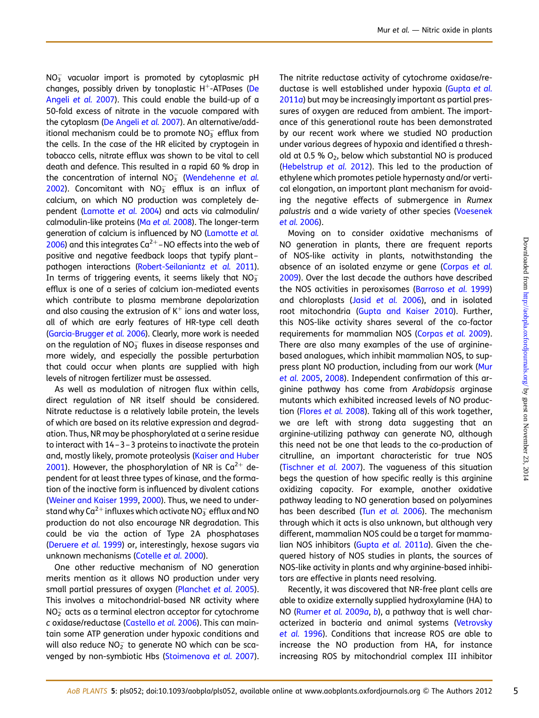$NO<sub>3</sub><sup>-</sup>$  vacuolar import is promoted by cytoplasmic pH changes, possibly driven by tonoplastic  $H^+$ -ATPases [\(De](#page-12-0) [Angeli](#page-12-0) et al. 2007). This could enable the build-up of a 50-fold excess of nitrate in the vacuole compared with the cytoplasm ([De Angeli](#page-12-0) et al. 2007). An alternative/additional mechanism could be to promote  $NO_3^-$  efflux from the cells. In the case of the HR elicited by cryptogein in tobacco cells, nitrate efflux was shown to be vital to cell death and defence. This resulted in a rapid 60 % drop in the concentration of internal  $NO_3^-$  [\(Wendehenne](#page-16-0) et al.  $2002$ ). Concomitant with  $NO<sub>3</sub>$  efflux is an influx of calcium, on which NO production was completely dependent [\(Lamotte](#page-13-0) et al. 2004) and acts via calmodulin/ calmodulin-like proteins (Ma et al. [2008](#page-13-0)). The longer-term generation of calcium is influenced by NO ([Lamotte](#page-13-0) et al. [2006\)](#page-13-0) and this integrates  $Ca^{2+}$  – NO effects into the web of positive and negative feedback loops that typify plant– pathogen interactions [\(Robert-Seilaniantz](#page-14-0) et al. 2011). In terms of triggering events, it seems likely that  $NO_3^$ efflux is one of a series of calcium ion-mediated events which contribute to plasma membrane depolarization and also causing the extrusion of  $K^+$  ions and water loss, all of which are early features of HR-type cell death [\(Garcia-Brugger](#page-12-0) et al. 2006). Clearly, more work is needed on the regulation of  $NO_3^-$  fluxes in disease responses and more widely, and especially the possible perturbation that could occur when plants are supplied with high levels of nitrogen fertilizer must be assessed.

As well as modulation of nitrogen flux within cells, direct regulation of NR itself should be considered. Nitrate reductase is a relatively labile protein, the levels of which are based on its relative expression and degradation. Thus, NR may be phosphorylated at a serine residue to interact with 14–3–3 proteins to inactivate the protein and, mostly likely, promote proteolysis [\(Kaiser and Huber](#page-13-0) [2001\)](#page-13-0). However, the phosphorylation of NR is  $Ca^{2+}$  dependent for at least three types of kinase, and the formation of the inactive form is influenced by divalent cations [\(Weiner and Kaiser 1999](#page-16-0), [2000\)](#page-16-0). Thus, we need to understand why Ca $^\mathrm{2+}$  influxes which activate NO $_3^-$  efflux and NO production do not also encourage NR degradation. This could be via the action of Type 2A phosphatases [\(Deruere](#page-12-0) et al. 1999) or, interestingly, hexose sugars via unknown mechanisms [\(Cotelle](#page-11-0) et al. 2000).

One other reductive mechanism of NO generation merits mention as it allows NO production under very small partial pressures of oxygen ([Planchet](#page-14-0) et al. 2005). This involves a mitochondrial-based NR activity where  $NO_2^-$  acts as a terminal electron acceptor for cytochrome c oxidase/reductase [\(Castello](#page-11-0) et al. 2006). This can maintain some ATP generation under hypoxic conditions and will also reduce  $NO_2^-$  to generate NO which can be scavenged by non-symbiotic Hbs ([Stoimenova](#page-15-0) et al. 2007).

The nitrite reductase activity of cytochrome oxidase/reductase is well established under hypoxia [\(Gupta](#page-12-0) et al. [2011](#page-12-0)a) but may be increasingly important as partial pressures of oxygen are reduced from ambient. The importance of this generational route has been demonstrated by our recent work where we studied NO production under various degrees of hypoxia and identified a threshold at 0.5 %  $O<sub>2</sub>$ , below which substantial NO is produced ([Hebelstrup](#page-13-0) et al. 2012). This led to the production of ethylene which promotes petiole hypernasty and/or vertical elongation, an important plant mechanism for avoiding the negative effects of submergence in Rumex palustris and a wide variety of other species ([Voesenek](#page-15-0) et al. [2006\)](#page-15-0).

Moving on to consider oxidative mechanisms of NO generation in plants, there are frequent reports of NOS-like activity in plants, notwithstanding the absence of an isolated enzyme or gene ([Corpas](#page-11-0) et al. [2009\)](#page-11-0). Over the last decade the authors have described the NOS activities in peroxisomes [\(Barroso](#page-11-0) et al. 1999) and chloroplasts (Jasid [et al.](#page-13-0) 2006), and in isolated root mitochondria [\(Gupta and Kaiser 2010](#page-12-0)). Further, this NOS-like activity shares several of the co-factor requirements for mammalian NOS [\(Corpas](#page-11-0) et al. 2009). There are also many examples of the use of argininebased analogues, which inhibit mammalian NOS, to suppress plant NO production, including from our work [\(Mur](#page-14-0) [et al.](#page-14-0) 2005, [2008](#page-14-0)). Independent confirmation of this arginine pathway has come from Arabidopsis arginase mutants which exhibited increased levels of NO produc-tion [\(Flores](#page-12-0) et al. 2008). Taking all of this work together, we are left with strong data suggesting that an arginine-utilizing pathway can generate NO, although this need not be one that leads to the co-production of citrulline, an important characteristic for true NOS ([Tischner](#page-15-0) et al. 2007). The vagueness of this situation begs the question of how specific really is this arginine oxidizing capacity. For example, another oxidative pathway leading to NO generation based on polyamines has been described (Tun [et al.](#page-15-0) 2006). The mechanism through which it acts is also unknown, but although very different, mammalian NOS could be a target for mamma-lian NOS inhibitors ([Gupta](#page-12-0) et al.  $2011a$ ). Given the chequered history of NOS studies in plants, the sources of NOS-like activity in plants and why arginine-based inhibitors are effective in plants need resolving.

Recently, it was discovered that NR-free plant cells are able to oxidize externally supplied hydroxylamine (HA) to NO ([Rumer](#page-14-0) et al. 2009a, [b](#page-14-0)), a pathway that is well characterized in bacteria and animal systems ([Vetrovsky](#page-15-0) [et al.](#page-15-0) 1996). Conditions that increase ROS are able to increase the NO production from HA, for instance increasing ROS by mitochondrial complex III inhibitor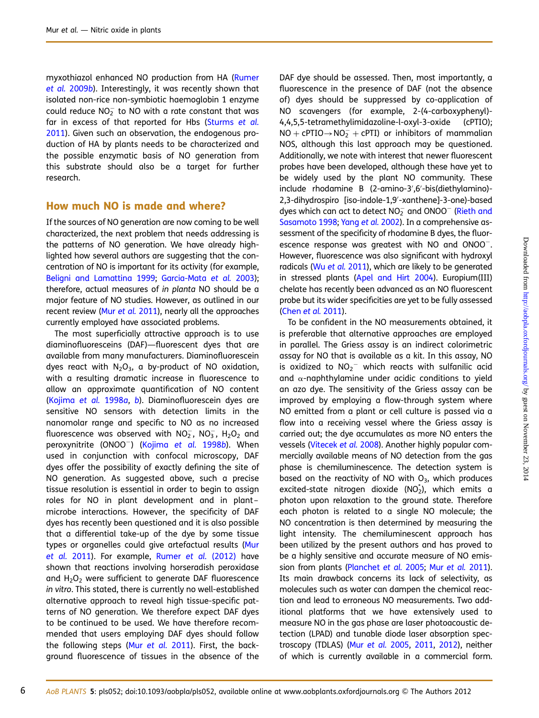myxothiazol enhanced NO production from HA ([Rumer](#page-14-0) [et al.](#page-14-0) 2009b). Interestingly, it was recently shown that isolated non-rice non-symbiotic haemoglobin 1 enzyme could reduce  $NO_2^-$  to NO with a rate constant that was far in excess of that reported for Hbs [\(Sturms](#page-15-0) et al. [2011\)](#page-15-0). Given such an observation, the endogenous production of HA by plants needs to be characterized and the possible enzymatic basis of NO generation from this substrate should also be a target for further research.

#### How much NO is made and where?

If the sources of NO generation are now coming to be well characterized, the next problem that needs addressing is the patterns of NO generation. We have already highlighted how several authors are suggesting that the concentration of NO is important for its activity (for example, [Beligni and Lamattina 1999](#page-11-0); [Garcia-Mata](#page-12-0) et al. 2003); therefore, actual measures of in planta NO should be a major feature of NO studies. However, as outlined in our recent review (Mur et al. [2011\)](#page-14-0), nearly all the approaches currently employed have associated problems.

The most superficially attractive approach is to use diaminofluoresceins (DAF)—fluorescent dyes that are available from many manufacturers. Diaminofluorescein dyes react with  $N_2O_3$ , a by-product of NO oxidation, with a resulting dramatic increase in fluorescence to allow an approximate quantification of NO content [\(Kojima](#page-13-0) et al. 1998a, [b](#page-13-0)). Diaminofluorescein dyes are sensitive NO sensors with detection limits in the nanomolar range and specific to NO as no increased fluorescence was observed with  $NO<sub>2</sub>$ ,  $NO<sub>3</sub>$ ,  $H<sub>2</sub>O<sub>2</sub>$  and peroxynitrite (ONOO<sup>-</sup>) [\(Kojima](#page-13-0) et al. 1998b). When used in conjunction with confocal microscopy, DAF dyes offer the possibility of exactly defining the site of NO generation. As suggested above, such a precise tissue resolution is essential in order to begin to assign roles for NO in plant development and in plant– microbe interactions. However, the specificity of DAF dyes has recently been questioned and it is also possible that a differential take-up of the dye by some tissue types or organelles could give artefactual results [\(Mur](#page-14-0) [et al.](#page-14-0) 2011). For example, [Rumer](#page-14-0) et al. (2012) have shown that reactions involving horseradish peroxidase and  $H_2O_2$  were sufficient to generate DAF fluorescence in vitro. This stated, there is currently no well-established alternative approach to reveal high tissue-specific patterns of NO generation. We therefore expect DAF dyes to be continued to be used. We have therefore recommended that users employing DAF dyes should follow the following steps (Mur [et al.](#page-14-0) 2011). First, the background fluorescence of tissues in the absence of the

DAF dye should be assessed. Then, most importantly, a fluorescence in the presence of DAF (not the absence of) dyes should be suppressed by co-application of NO scavengers (for example, 2-(4-carboxyphenyl)- 4,4,5,5-tetramethylimidazoline-l-oxyl-3-oxide (cPTIO);  $NO + cPTIO \rightarrow NO_2^- + cPTI$ ) or inhibitors of mammalian NOS, although this last approach may be questioned. Additionally, we note with interest that newer fluorescent probes have been developed, although these have yet to be widely used by the plant NO community. These include rhodamine B (2-amino-3′ ,6′ -bis(diethylamino)- 2,3-dihydrospiro [iso-indole-1,9′ -xanthene]-3-one)-based dyes which can act to detect  $NO_2^-$  and  $ONOO^-$  [\(Rieth and](#page-14-0) [Sasamoto 1998;](#page-14-0) Yang et al. [2002\)](#page-16-0). In a comprehensive assessment of the specificity of rhodamine B dyes, the fluorescence response was greatest with NO and ONOO<sup>-</sup>. However, fluorescence was also significant with hydroxyl radicals (Wu et al. [2011](#page-16-0)), which are likely to be generated in stressed plants [\(Apel and Hirt 2004\)](#page-11-0). Europium(III) chelate has recently been advanced as an NO fluorescent probe but its wider specificities are yet to be fully assessed ([Chen](#page-11-0) et al. 2011). To be confident in the NO measurements obtained, it

is preferable that alternative approaches are employed in parallel. The Griess assay is an indirect colorimetric assay for NO that is available as a kit. In this assay, NO is oxidized to  $NO_2^-$  which reacts with sulfanilic acid and  $\alpha$ -naphthylamine under acidic conditions to yield an azo dye. The sensitivity of the Griess assay can be improved by employing a flow-through system where NO emitted from a plant or cell culture is passed via a flow into a receiving vessel where the Griess assay is carried out; the dye accumulates as more NO enters the vessels [\(Vitecek](#page-15-0) et al. 2008). Another highly popular commercially available means of NO detection from the gas phase is chemiluminescence. The detection system is based on the reactivity of NO with  $O<sub>3</sub>$ , which produces excited-state nitrogen dioxide (NO $_{2}^{*}$ ), which emits a photon upon relaxation to the ground state. Therefore each photon is related to a single NO molecule; the NO concentration is then determined by measuring the light intensity. The chemiluminescent approach has been utilized by the present authors and has proved to be a highly sensitive and accurate measure of NO emission from plants [\(Planchet](#page-14-0) et al. 2005; Mur [et al.](#page-14-0) 2011). Its main drawback concerns its lack of selectivity, as molecules such as water can dampen the chemical reaction and lead to erroneous NO measurements. Two additional platforms that we have extensively used to measure NO in the gas phase are laser photoacoustic detection (LPAD) and tunable diode laser absorption spectroscopy (TDLAS) (Mur [et al.](#page-14-0) 2005, [2011,](#page-14-0) [2012\)](#page-14-0), neither of which is currently available in a commercial form.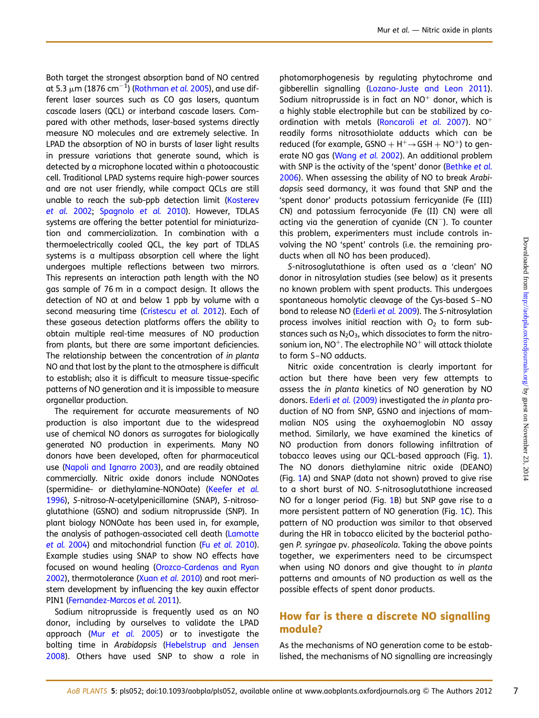Both target the strongest absorption band of NO centred at 5.3  $\mu$ m (1876 cm $^{-1}$ ) [\(Rothman](#page-14-0) et al. 2005), and use different laser sources such as CO gas lasers, quantum cascade lasers (QCL) or interband cascade lasers. Compared with other methods, laser-based systems directly measure NO molecules and are extremely selective. In LPAD the absorption of NO in bursts of laser light results in pressure variations that generate sound, which is detected by a microphone located within a photoacoustic cell. Traditional LPAD systems require high-power sources and are not user friendly, while compact QCLs are still unable to reach the sub-ppb detection limit (Kosterey [et al.](#page-13-0) 2002; [Spagnolo](#page-15-0) et al. 2010). However, TDLAS systems are offering the better potential for miniaturization and commercialization. In combination with a thermoelectrically cooled QCL, the key part of TDLAS systems is a multipass absorption cell where the light undergoes multiple reflections between two mirrors. This represents an interaction path length with the NO gas sample of 76 m in a compact design. It allows the detection of NO at and below 1 ppb by volume with a second measuring time [\(Cristescu](#page-11-0) et al. 2012). Each of these gaseous detection platforms offers the ability to obtain multiple real-time measures of NO production from plants, but there are some important deficiencies. The relationship between the concentration of in planta NO and that lost by the plant to the atmosphere is difficult to establish; also it is difficult to measure tissue-specific patterns of NO generation and it is impossible to measure organellar production.

The requirement for accurate measurements of NO production is also important due to the widespread use of chemical NO donors as surrogates for biologically generated NO production in experiments. Many NO donors have been developed, often for pharmaceutical use ([Napoli and Ignarro 2003\)](#page-14-0), and are readily obtained commercially. Nitric oxide donors include NONOates (spermidine- or diethylamine-NONOate) [\(Keefer](#page-13-0) et al. [1996\)](#page-13-0), S-nitroso-N-acetylpenicillamine (SNAP), S-nitrosoglutathione (GSNO) and sodium nitroprusside (SNP). In plant biology NONOate has been used in, for example, the analysis of pathogen-associated cell death ([Lamotte](#page-13-0) [et al.](#page-13-0) 2004) and mitochondrial function (Fu [et al.](#page-12-0) 2010). Example studies using SNAP to show NO effects have focused on wound healing [\(Orozco-Cardenas and Ryan](#page-14-0) [2002\)](#page-14-0), thermotolerance (Xuan et al. [2010\)](#page-16-0) and root meristem development by influencing the key auxin effector PIN1 ([Fernandez-Marcos](#page-12-0) et al. 2011).

Sodium nitroprusside is frequently used as an NO donor, including by ourselves to validate the LPAD approach (Mur [et al.](#page-14-0) 2005) or to investigate the bolting time in Arabidopsis [\(Hebelstrup and Jensen](#page-13-0) [2008\)](#page-13-0). Others have used SNP to show a role in photomorphogenesis by regulating phytochrome and gibberellin signalling ([Lozano-Juste and Leon 2011](#page-13-0)). Sodium nitroprusside is in fact an  $NO<sup>+</sup>$  donor, which is a highly stable electrophile but can be stabilized by co-ordination with metals ([Roncaroli](#page-14-0) et al. 2007).  $NO<sup>+</sup>$ readily forms nitrosothiolate adducts which can be reduced (for example, GSNO  $+ H^{+} \rightarrow$  GSH  $+$  NO<sup>+</sup>) to generate NO gas [\(Wang](#page-16-0) et al. 2002). An additional problem with SNP is the activity of the 'spent' donor ([Bethke](#page-11-0) et al. [2006\)](#page-11-0). When assessing the ability of NO to break Arabidopsis seed dormancy, it was found that SNP and the 'spent donor' products potassium ferricyanide (Fe (III) CN) and potassium ferrocyanide (Fe (II) CN) were all acting via the generation of cyanide  $(CN<sup>-</sup>)$ . To counter this problem, experimenters must include controls involving the NO 'spent' controls (i.e. the remaining products when all NO has been produced).

S-nitrosoglutathione is often used as a 'clean' NO donor in nitrosylation studies (see below) as it presents no known problem with spent products. This undergoes spontaneous homolytic cleavage of the Cys-based S–NO bond to release NO ([Ederli](#page-12-0) et al. 2009). The S-nitrosylation process involves initial reaction with  $O<sub>2</sub>$  to form substances such as  $N_2O_3$ , which dissociates to form the nitrosonium ion,  $NO^{+}$ . The electrophile  $NO^{+}$  will attack thiolate to form S–NO adducts.

Nitric oxide concentration is clearly important for action but there have been very few attempts to assess the in planta kinetics of NO generation by NO donors. Ederli et al. [\(2009\)](#page-12-0) investigated the in planta production of NO from SNP, GSNO and injections of mammalian NOS using the oxyhaemoglobin NO assay method. Similarly, we have examined the kinetics of NO production from donors following infiltration of tobacco leaves using our QCL-based approach (Fig. [1](#page-7-0)). The NO donors diethylamine nitric oxide (DEANO) (Fig. [1](#page-7-0)A) and SNAP (data not shown) proved to give rise to a short burst of NO. S-nitrosoglutathione increased NO for a longer period (Fig. [1B](#page-7-0)) but SNP gave rise to a more persistent pattern of NO generation (Fig. [1C](#page-7-0)). This pattern of NO production was similar to that observed during the HR in tobacco elicited by the bacterial pathogen P. syringae pv. phaseolicola. Taking the above points together, we experimenters need to be circumspect when using NO donors and give thought to in planta patterns and amounts of NO production as well as the possible effects of spent donor products.

# How far is there a discrete NO signalling module?

As the mechanisms of NO generation come to be established, the mechanisms of NO signalling are increasingly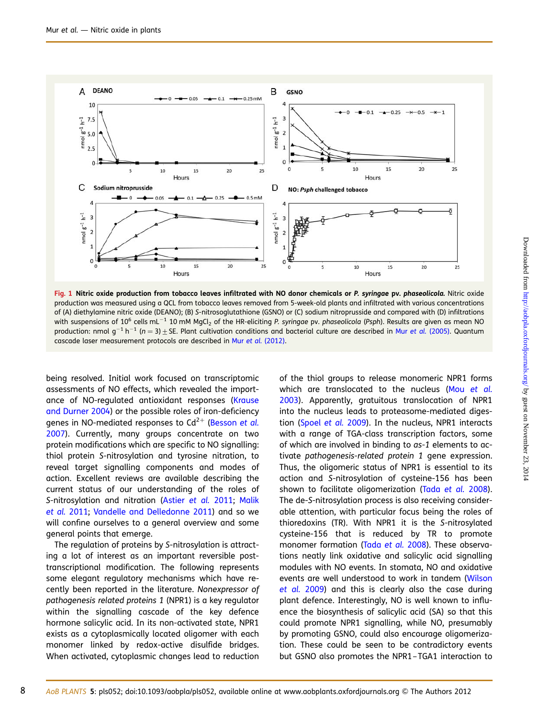<span id="page-7-0"></span>

Fig. 1 Nitric oxide production from tobacco leaves infiltrated with NO donor chemicals or P. syringae pv. phaseolicola. Nitric oxide production was measured using a QCL from tobacco leaves removed from 5-week-old plants and infiltrated with various concentrations of (A) diethylamine nitric oxide (DEANO); (B) S-nitrosoglutathione (GSNO) or (C) sodium nitroprusside and compared with (D) infiltrations with suspensions of 10<sup>6</sup> cells mL<sup>-1</sup> 10 mM MgCl<sub>2</sub> of the HR-eliciting P. syringae pv. phaseolicola (Psph). Results are given as mean NO production: nmol  $g^{-1}$  h<sup>-1</sup> (n = 3)  $\pm$  SE. Plant cultivation conditions and bacterial culture are described in Mur et al. [\(2005\)](#page-14-0). Quantum cascade laser measurement protocols are described in Mur et al. [\(2012\).](#page-14-0)

being resolved. Initial work focused on transcriptomic assessments of NO effects, which revealed the importance of NO-regulated antioxidant responses ([Krause](#page-13-0) [and Durner 2004\)](#page-13-0) or the possible roles of iron-deficiency genes in NO-mediated responses to  $Cd^{2+}$  [\(Besson](#page-11-0) et al. [2007\)](#page-11-0). Currently, many groups concentrate on two protein modifications which are specific to NO signalling: thiol protein S-nitrosylation and tyrosine nitration, to reveal target signalling components and modes of action. Excellent reviews are available describing the current status of our understanding of the roles of S-nitrosylation and nitration [\(Astier](#page-11-0) et al. 2011; [Malik](#page-13-0) [et al.](#page-13-0) 2011; [Vandelle and Delledonne 2011\)](#page-15-0) and so we will confine ourselves to a general overview and some general points that emerge.

The regulation of proteins by S-nitrosylation is attracting a lot of interest as an important reversible posttranscriptional modification. The following represents some elegant regulatory mechanisms which have recently been reported in the literature. Nonexpressor of pathogenesis related proteins 1 (NPR1) is a key regulator within the signalling cascade of the key defence hormone salicylic acid. In its non-activated state, NPR1 exists as a cytoplasmically located oligomer with each monomer linked by redox-active disulfide bridges. When activated, cytoplasmic changes lead to reduction

of the thiol groups to release monomeric NPR1 forms which are translocated to the nucleus (Mou [et al.](#page-14-0) [2003\)](#page-14-0). Apparently, gratuitous translocation of NPR1 into the nucleus leads to proteasome-mediated digestion [\(Spoel](#page-15-0) et al. 2009). In the nucleus, NPR1 interacts with a range of TGA-class transcription factors, some of which are involved in binding to as-1 elements to activate pathogenesis-related protein 1 gene expression. Thus, the oligomeric status of NPR1 is essential to its action and S-nitrosylation of cysteine-156 has been shown to facilitate oligomerization (Tada [et al.](#page-15-0) 2008). The de-S-nitrosylation process is also receiving considerable attention, with particular focus being the roles of thioredoxins (TR). With NPR1 it is the S-nitrosylated cysteine-156 that is reduced by TR to promote monomer formation (Tada [et al.](#page-15-0) 2008). These observations neatly link oxidative and salicylic acid signalling modules with NO events. In stomata, NO and oxidative events are well understood to work in tandem [\(Wilson](#page-16-0) [et al.](#page-16-0) 2009) and this is clearly also the case during plant defence. Interestingly, NO is well known to influence the biosynthesis of salicylic acid (SA) so that this could promote NPR1 signalling, while NO, presumably by promoting GSNO, could also encourage oligomerization. These could be seen to be contradictory events but GSNO also promotes the NPR1–TGA1 interaction to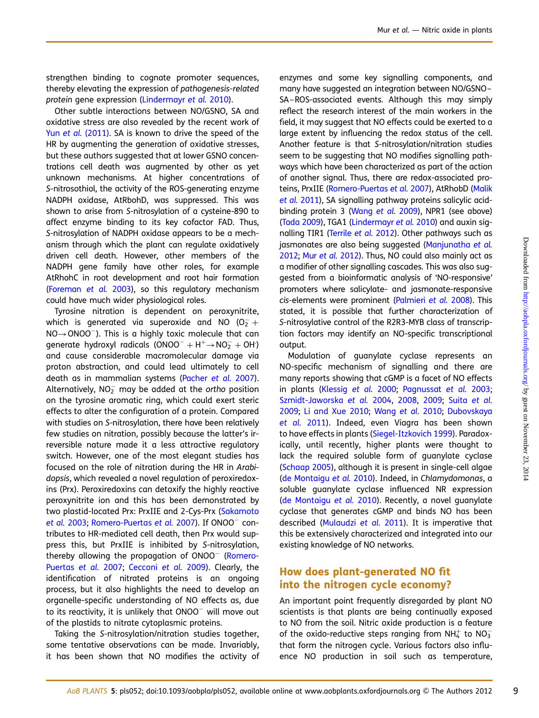strengthen binding to cognate promoter sequences, thereby elevating the expression of pathogenesis-related protein gene expression [\(Lindermayr](#page-13-0) et al. 2010).

Other subtle interactions between NO/GSNO, SA and oxidative stress are also revealed by the recent work of Yun et al. [\(2011\).](#page-16-0) SA is known to drive the speed of the HR by augmenting the generation of oxidative stresses, but these authors suggested that at lower GSNO concentrations cell death was augmented by other as yet unknown mechanisms. At higher concentrations of S-nitrosothiol, the activity of the ROS-generating enzyme NADPH oxidase, AtRbohD, was suppressed. This was shown to arise from S-nitrosylation of a cysteine-890 to affect enzyme binding to its key cofactor FAD. Thus, S-nitrosylation of NADPH oxidase appears to be a mechanism through which the plant can regulate oxidatively driven cell death. However, other members of the NADPH gene family have other roles, for example AtRhohC in root development and root hair formation [\(Foreman](#page-12-0) et al. 2003), so this regulatory mechanism could have much wider physiological roles.

Tyrosine nitration is dependent on peroxynitrite, which is generated via superoxide and NO (O $_2^-$  +  $NO \rightarrow ONOO^{-}$ ). This is a highly toxic molecule that can generate hydroxyl radicals  $(ONOO^{-} + H^{+} \rightarrow NO_{2}^{-} + OH)$ and cause considerable macromolecular damage via proton abstraction, and could lead ultimately to cell death as in mammalian systems [\(Pacher](#page-14-0) et al. 2007). Alternatively,  $NO_2^-$  may be added at the ortho position on the tyrosine aromatic ring, which could exert steric effects to alter the configuration of a protein. Compared with studies on S-nitrosylation, there have been relatively few studies on nitration, possibly because the latter's irreversible nature made it a less attractive regulatory switch. However, one of the most elegant studies has focused on the role of nitration during the HR in Arabidopsis, which revealed a novel regulation of peroxiredoxins (Prx). Peroxiredoxins can detoxify the highly reactive peroxynitrite ion and this has been demonstrated by two plastid-located Prx: PrxIIE and 2-Cys-Prx [\(Sakamoto](#page-14-0) et al. [2003;](#page-14-0) [Romero-Puertas](#page-14-0) et al. 2007). If  $ONOO<sup>-</sup>$  contributes to HR-mediated cell death, then Prx would suppress this, but PrxIIE is inhibited by S-nitrosylation, thereby allowing the propagation of  $ONOO<sup>-</sup>$  ([Romero-](#page-14-0)[Puertas](#page-14-0) et al. 2007; [Cecconi](#page-11-0) et al. 2009). Clearly, the identification of nitrated proteins is an ongoing process, but it also highlights the need to develop an organelle-specific understanding of NO effects as, due to its reactivity, it is unlikely that  $ONOO^-$  will move out of the plastids to nitrate cytoplasmic proteins.

Taking the S-nitrosylation/nitration studies together, some tentative observations can be made. Invariably, it has been shown that NO modifies the activity of enzymes and some key signalling components, and many have suggested an integration between NO/GSNO– SA–ROS-associated events. Although this may simply reflect the research interest of the main workers in the field, it may suggest that NO effects could be exerted to a large extent by influencing the redox status of the cell. Another feature is that S-nitrosylation/nitration studies seem to be suggesting that NO modifies signalling pathways which have been characterized as part of the action of another signal. Thus, there are redox-associated proteins, PrxIIE [\(Romero-Puertas](#page-14-0) et al. 2007), AtRhobD [\(Malik](#page-13-0) et al. [2011\)](#page-13-0), SA signalling pathway proteins salicylic acid-binding protein 3 [\(Wang](#page-16-0) et al. 2009), NPR1 (see above) ([Tada 2009](#page-15-0)), TGA1 ([Lindermayr](#page-13-0) et al. 2010) and auxin sig-nalling TIR1 [\(Terrile](#page-15-0) et al. 2012). Other pathways such as jasmonates are also being suggested ([Manjunatha](#page-13-0) et al. [2012](#page-13-0); Mur et al. [2012\)](#page-14-0). Thus, NO could also mainly act as a modifier of other signalling cascades. This was also suggested from a bioinformatic analysis of 'NO-responsive' promoters where salicylate- and jasmonate-responsive cis-elements were prominent ([Palmieri](#page-14-0) et al. 2008). This stated, it is possible that further characterization of S-nitrosylative control of the R2R3-MYB class of transcription factors may identify an NO-specific transcriptional output.

Modulation of guanylate cyclase represents an NO-specific mechanism of signalling and there are many reports showing that cGMP is a facet of NO effects in plants ([Klessig](#page-13-0) et al. 2000; [Pagnussat](#page-14-0) et al. 2003; [Szmidt-Jaworska](#page-15-0) et al. 2004, [2008,](#page-15-0) [2009;](#page-15-0) Suita [et al.](#page-15-0) [2009;](#page-15-0) [Li and Xue 2010;](#page-13-0) [Wang](#page-16-0) et al. 2010; [Dubovskaya](#page-12-0) [et al.](#page-12-0) 2011). Indeed, even Viagra has been shown to have effects in plants ([Siegel-Itzkovich 1999](#page-15-0)). Paradoxically, until recently, higher plants were thought to lack the required soluble form of guanylate cyclase ([Schaap 2005\)](#page-15-0), although it is present in single-cell algae ([de Montaigu](#page-12-0) et al. 2010). Indeed, in Chlamydomonas, a soluble guanylate cyclase influenced NR expression ([de Montaigu](#page-12-0) et al. 2010). Recently, a novel guanylate cyclase that generates cGMP and binds NO has been described ([Mulaudzi](#page-14-0) et al. 2011). It is imperative that this be extensively characterized and integrated into our existing knowledge of NO networks.

## How does plant-generated NO fit into the nitrogen cycle economy?

An important point frequently disregarded by plant NO scientists is that plants are being continually exposed to NO from the soil. Nitric oxide production is a feature of the oxido-reductive steps ranging from NH $_4^+$  to NO $_3^$ that form the nitrogen cycle. Various factors also influence NO production in soil such as temperature,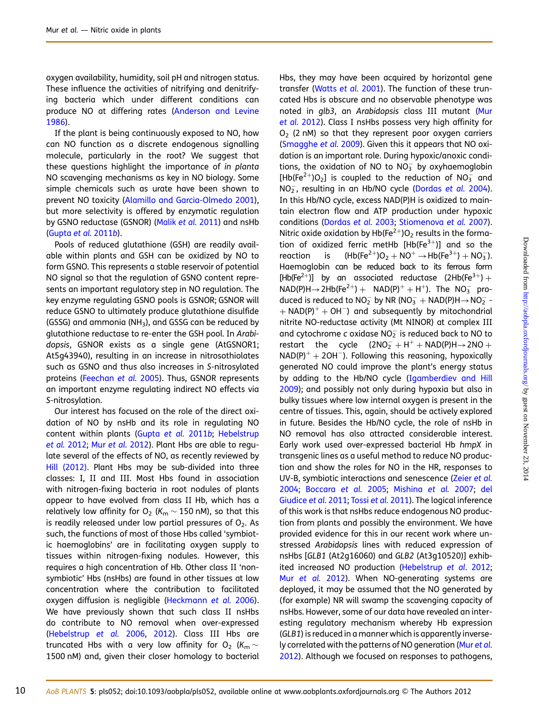oxygen availability, humidity, soil pH and nitrogen status. These influence the activities of nitrifying and denitrifying bacteria which under different conditions can produce NO at differing rates ([Anderson and Levine](#page-11-0) [1986\)](#page-11-0).

If the plant is being continuously exposed to NO, how can NO function as a discrete endogenous signalling molecule, particularly in the root? We suggest that these questions highlight the importance of in planta NO scavenging mechanisms as key in NO biology. Some simple chemicals such as urate have been shown to prevent NO toxicity [\(Alamillo and Garcia-Olmedo 2001](#page-11-0)), but more selectivity is offered by enzymatic regulation by GSNO reductase (GSNOR) [\(Malik](#page-13-0) et al. 2011) and nsHb [\(Gupta](#page-12-0) et al. 2011b).

Pools of reduced glutathione (GSH) are readily available within plants and GSH can be oxidized by NO to form GSNO. This represents a stable reservoir of potential NO signal so that the regulation of GSNO content represents an important regulatory step in NO regulation. The key enzyme regulating GSNO pools is GSNOR; GSNOR will reduce GSNO to ultimately produce glutathione disulfide (GSSG) and ammonia ( $NH<sub>3</sub>$ ), and GSSG can be reduced by glutathione reductase to re-enter the GSH pool. In Arabidopsis, GSNOR exists as a single gene (AtGSNOR1; At5g43940), resulting in an increase in nitrosothiolates such as GSNO and thus also increases in S-nitrosylated proteins ([Feechan](#page-12-0) et al. 2005). Thus, GSNOR represents an important enzyme regulating indirect NO effects via S-nitrosylation.

Our interest has focused on the role of the direct oxidation of NO by nsHb and its role in regulating NO content within plants ([Gupta](#page-12-0) et al. 2011b; [Hebelstrup](#page-13-0) et al. [2012;](#page-13-0) Mur [et al.](#page-14-0) 2012). Plant Hbs are able to regulate several of the effects of NO, as recently reviewed by [Hill \(2012\)](#page-13-0). Plant Hbs may be sub-divided into three classes: I, II and III. Most Hbs found in association with nitrogen-fixing bacteria in root nodules of plants appear to have evolved from class II Hb, which has a relatively low affinity for  $O_2$  ( $K_m \sim 150$  nM), so that this is readily released under low partial pressures of  $O<sub>2</sub>$ . As such, the functions of most of those Hbs called 'symbiotic haemoglobins' are in facilitating oxygen supply to tissues within nitrogen-fixing nodules. However, this requires a high concentration of Hb. Other class II 'nonsymbiotic' Hbs (nsHbs) are found in other tissues at low concentration where the contribution to facilitated oxygen diffusion is negligible [\(Heckmann](#page-13-0) et al. 2006). We have previously shown that such class II nsHbs do contribute to NO removal when over-expressed [\(Hebelstrup](#page-13-0) et al. 2006, [2012\)](#page-13-0). Class III Hbs are truncated Hbs with a very low affinity for  $O_2$  (K<sub>m</sub>  $\sim$ 1500 nM) and, given their closer homology to bacterial transfer ([Watts](#page-16-0) et al. 2001). The function of these truncated Hbs is obscure and no observable phenotype was noted in glb3, an Arabidopsis class III mutant [\(Mur](#page-14-0) [et al.](#page-14-0) 2012). Class I nsHbs possess very high affinity for  $O<sub>2</sub>$  (2 nM) so that they represent poor oxygen carriers ([Smagghe](#page-15-0) et al. 2009). Given this it appears that NO oxidation is an important role. During hypoxic/anoxic conditions, the oxidation of NO to NO $_3^-$  by oxyhaemoglobin [Hb(Fe<sup>2+</sup>)O<sub>2</sub>] is coupled to the reduction of  $NO<sub>3</sub><sup>-</sup>$  and NO<sub>2</sub>, resulting in an Hb/NO cycle [\(Dordas](#page-12-0) et al. 2004). In this Hb/NO cycle, excess NAD(P)H is oxidized to maintain electron flow and ATP production under hypoxic conditions [\(Dordas](#page-12-0) et al. 2003; [Stiomenova](#page-15-0) et al. 2007). Nitric oxide oxidation by Hb(Fe<sup>2+</sup>)O<sub>2</sub> results in the formation of oxidized ferric metHb  $[Hb(Fe<sup>3+</sup>)]$  and so the reaction is  $(Hb(Fe^{2+})O_2 + NO^+ \rightarrow Hb(Fe^{3+}) + NO_3^-).$ Haemoglobin can be reduced back to its ferrous form [Hb(Fe<sup>2+</sup>)] by an associated reductase (2Hb(Fe<sup>3+</sup>) +  $NAD(P)H \rightarrow 2Hb(Fe^{2+}) + NAD(P)^+ + H^+$ ). The  $NO_3^-$  produced is reduced to  $NO_2^-$  by NR (NO<sub>3</sub> + NAD(P)H $\rightarrow$ NO<sub>2</sub> - $+$  NAD(P)<sup>+</sup> + OH<sup>-</sup>) and subsequently by mitochondrial nitrite NO-reductase activity (Mt NINOR) at complex III and cytochrome  $c$  oxidase NO $_2^+$  is reduced back to NO to restart the cycle  $(2NO<sub>2</sub><sup>-</sup> + H<sup>+</sup> + NAD(P)H<sub>→</sub> 2NO +$  $NAD(P)^+ + 2OH^-$ ). Following this reasoning, hypoxically generated NO could improve the plant's energy status by adding to the Hb/NO cycle [\(Igamberdiev and Hill](#page-13-0) [2009\)](#page-13-0); and possibly not only during hypoxia but also in bulky tissues where low internal oxygen is present in the centre of tissues. This, again, should be actively explored in future. Besides the Hb/NO cycle, the role of nsHb in NO removal has also attracted considerable interest. Early work used over-expressed bacterial Hb hmpX in transgenic lines as a useful method to reduce NO production and show the roles for NO in the HR, responses to UV-B, symbiotic interactions and senescence ([Zeier](#page-16-0) et al. [2004;](#page-16-0) [Boccara](#page-11-0) et al. 2005; [Mishina](#page-13-0) et al. 2007; [del](#page-12-0) [Giudice](#page-12-0) et al. 2011; Tossi et al. [2011](#page-15-0)). The logical inference of this work is that nsHbs reduce endogenous NO production from plants and possibly the environment. We have provided evidence for this in our recent work where unstressed Arabidopsis lines with reduced expression of nsHbs [GLB1 (At2g16060) and GLB2 (At3g10520)] exhibited increased NO production [\(Hebelstrup](#page-13-0) et al. 2012; Mur [et al.](#page-14-0) 2012). When NO-generating systems are deployed, it may be assumed that the NO generated by (for example) NR will swamp the scavenging capacity of nsHbs. However, some of our data have revealed an interesting regulatory mechanism whereby Hb expression (GLB1) is reduced in a manner which is apparently inversely correlated with the patterns of NO generation (Mur [et al.](#page-14-0) [2012\)](#page-14-0). Although we focused on responses to pathogens,

Hbs, they may have been acquired by horizontal gene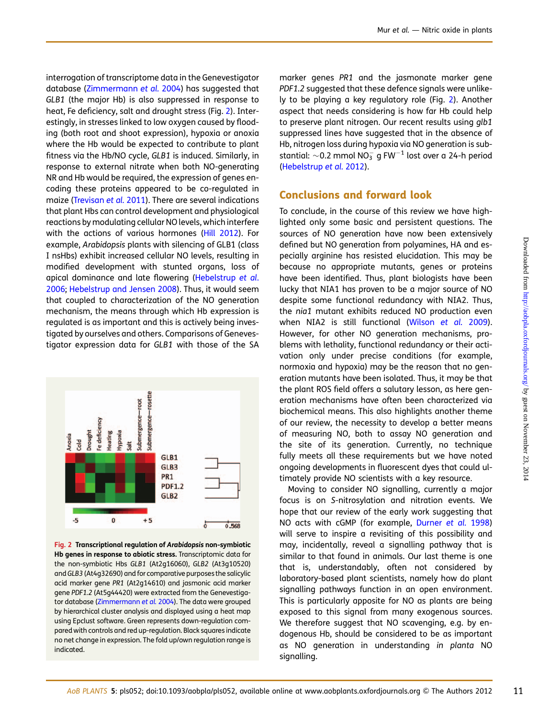interrogation of transcriptome data in the Genevestigator database (Zimmermann et al. 2004) has suggested that GLB1 (the major Hb) is also suppressed in response to heat, Fe deficiency, salt and drought stress (Fig. 2). Interestingly, in stresses linked to low oxygen caused by flooding (both root and shoot expression), hypoxia or anoxia where the Hb would be expected to contribute to plant fitness via the Hb/NO cycle, GLB1 is induced. Similarly, in response to external nitrate when both NO-generating NR and Hb would be required, the expression of genes encoding these proteins appeared to be co-regulated in maize [\(Trevisan](#page-15-0) et al. 2011). There are several indications that plant Hbs can control development and physiological reactions by modulating cellular NO levels, which interfere with the actions of various hormones [\(Hill 2012\)](#page-13-0). For example, Arabidopsis plants with silencing of GLB1 (class I nsHbs) exhibit increased cellular NO levels, resulting in modified development with stunted organs, loss of apical dominance and late flowering ([Hebelstrup](#page-13-0) et al. [2006;](#page-13-0) [Hebelstrup and Jensen 2008](#page-13-0)). Thus, it would seem that coupled to characterization of the NO generation mechanism, the means through which Hb expression is regulated is as important and this is actively being investigated by ourselves and others. Comparisons of Genevestigator expression data for GLB1 with those of the SA





marker genes PR1 and the jasmonate marker gene PDF1.2 suggested that these defence signals were unlikely to be playing a key regulatory role (Fig. 2). Another aspect that needs considering is how far Hb could help to preserve plant nitrogen. Our recent results using glb1 suppressed lines have suggested that in the absence of Hb, nitrogen loss during hypoxia via NO generation is substantial:  ${\sim}$ 0.2 mmol NO $_3^-$  g FW $^{-1}$  lost over a 24-h period ([Hebelstrup](#page-13-0) et al. 2012).

# Conclusions and forward look

To conclude, in the course of this review we have highlighted only some basic and persistent questions. The sources of NO generation have now been extensively defined but NO generation from polyamines, HA and especially arginine has resisted elucidation. This may be because no appropriate mutants, genes or proteins have been identified. Thus, plant biologists have been lucky that NIA1 has proven to be a major source of NO despite some functional redundancy with NIA2. Thus, the nia1 mutant exhibits reduced NO production even when NIA2 is still functional [\(Wilson](#page-16-0) et al. 2009). However, for other NO generation mechanisms, problems with lethality, functional redundancy or their activation only under precise conditions (for example, normoxia and hypoxia) may be the reason that no generation mutants have been isolated. Thus, it may be that the plant ROS field offers a salutary lesson, as here generation mechanisms have often been characterized via biochemical means. This also highlights another theme of our review, the necessity to develop a better means of measuring NO, both to assay NO generation and the site of its generation. Currently, no technique fully meets all these requirements but we have noted ongoing developments in fluorescent dyes that could ultimately provide NO scientists with a key resource.

Moving to consider NO signalling, currently a major focus is on S-nitrosylation and nitration events. We hope that our review of the early work suggesting that NO acts with cGMP (for example, [Durner](#page-12-0) et al. 1998) will serve to inspire a revisiting of this possibility and may, incidentally, reveal a signalling pathway that is similar to that found in animals. Our last theme is one that is, understandably, often not considered by laboratory-based plant scientists, namely how do plant signalling pathways function in an open environment. This is particularly apposite for NO as plants are being exposed to this signal from many exogenous sources. We therefore suggest that NO scavenging, e.g. by endogenous Hb, should be considered to be as important as NO generation in understanding in planta NO signalling.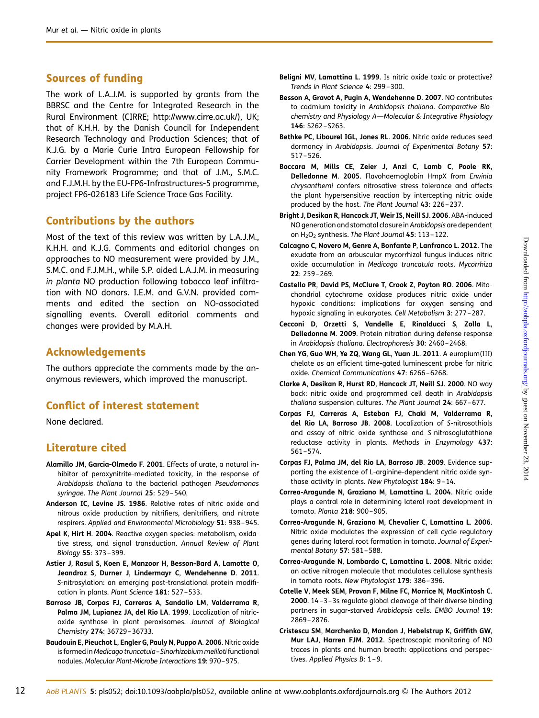# <span id="page-11-0"></span>Sources of funding

The work of L.A.J.M. is supported by grants from the BBRSC and the Centre for Integrated Research in the Rural Environment (CIRRE; http://www.cirre.ac.uk/), UK; that of K.H.H. by the Danish Council for Independent Research Technology and Production Sciences; that of K.J.G. by a Marie Curie Intra European Fellowship for Carrier Development within the 7th European Community Framework Programme; and that of J.M., S.M.C. and F.J.M.H. by the EU-FP6-Infrastructures-5 programme, project FP6-026183 Life Science Trace Gas Facility.

## Contributions by the authors

Most of the text of this review was written by L.A.J.M., K.H.H. and K.J.G. Comments and editorial changes on approaches to NO measurement were provided by J.M., S.M.C. and F.J.M.H., while S.P. aided L.A.J.M. in measuring in planta NO production following tobacco leaf infiltration with NO donors. I.E.M. and G.V.N. provided comments and edited the section on NO-associated signalling events. Overall editorial comments and changes were provided by M.A.H.

### Acknowledgements

The authors appreciate the comments made by the anonymous reviewers, which improved the manuscript.

#### Conflict of interest statement

None declared.

## Literature cited

- Alamillo JM, Garcia-Olmedo F. 2001. Effects of urate, a natural inhibitor of peroxynitrite-mediated toxicity, in the response of Arabidopsis thaliana to the bacterial pathogen Pseudomonas syringae. The Plant Journal 25: 529–540.
- Anderson IC, Levine JS. 1986. Relative rates of nitric oxide and nitrous oxide production by nitrifiers, denitrifiers, and nitrate respirers. Applied and Environmental Microbiology 51: 938–945.
- Apel K, Hirt H. 2004. Reactive oxygen species: metabolism, oxidative stress, and signal transduction. Annual Review of Plant Biology 55: 373–399.
- Astier J, Rasul S, Koen E, Manzoor H, Besson-Bard A, Lamotte O, Jeandroz S, Durner J, Lindermayr C, Wendehenne D. 2011. S-nitrosylation: an emerging post-translational protein modification in plants. Plant Science 181: 527–533.
- Barroso JB, Corpas FJ, Carreras A, Sandalio LM, Valderrama R, Palma JM, Lupianez JA, del Rio LA. 1999. Localization of nitricoxide synthase in plant peroxisomes. Journal of Biological Chemistry 274: 36729–36733.
- Baudouin E, Pieuchot L, Engler G, Pauly N, Puppo A. 2006. Nitric oxide is formed in Medicago truncatula-Sinorhizobium meliloti functional nodules. Molecular Plant-Microbe Interactions 19: 970–975.
- Beligni MV, Lamattina L. 1999. Is nitric oxide toxic or protective? Trends in Plant Science 4: 299–300.
- Besson A, Gravot A, Pugin A, Wendehenne D. 2007. NO contributes to cadmium toxicity in Arabidopsis thaliana. Comparative Biochemistry and Physiology A—Molecular & Integrative Physiology 146: S262–S263.
- Bethke PC, Libourel IGL, Jones RL. 2006. Nitric oxide reduces seed dormancy in Arabidopsis. Journal of Experimental Botany 57: 517–526.
- Boccara M, Mills CE, Zeier J, Anzi C, Lamb C, Poole RK, Delledonne M. 2005. Flavohaemoglobin HmpX from Erwinia chrysanthemi confers nitrosative stress tolerance and affects the plant hypersensitive reaction by intercepting nitric oxide produced by the host. The Plant Journal 43: 226–237.
- Bright J, Desikan R, Hancock JT, Weir IS, Neill SJ. 2006. ABA-induced NO generation and stomatal closure inArabidopsis are dependent on  $H<sub>2</sub>O<sub>2</sub>$  synthesis. The Plant Journal 45: 113-122.
- Calcagno C, Novero M, Genre A, Bonfante P, Lanfranco L. 2012. The exudate from an arbuscular mycorrhizal fungus induces nitric oxide accumulation in Medicago truncatula roots. Mycorrhiza 22: 259–269.
- Castello PR, David PS, McClure T, Crook Z, Poyton RO. 2006. Mitochondrial cytochrome oxidase produces nitric oxide under hypoxic conditions: implications for oxygen sensing and hypoxic signaling in eukaryotes. Cell Metabolism 3: 277–287.
- Cecconi D, Orzetti S, Vandelle E, Rinalducci S, Zolla L, Delledonne M. 2009. Protein nitration during defense response in Arabidopsis thaliana. Electrophoresis 30: 2460–2468.
- Chen YG, Guo WH, Ye ZQ, Wang GL, Yuan JL. 2011. A europium(III) chelate as an efficient time-gated luminescent probe for nitric oxide. Chemical Communications 47: 6266–6268.
- Clarke A, Desikan R, Hurst RD, Hancock JT, Neill SJ. 2000. NO way back: nitric oxide and programmed cell death in Arabidopsis thaliana suspension cultures. The Plant Journal 24: 667–677.
- Corpas FJ, Carreras A, Esteban FJ, Chaki M, Valderrama R, del Rio LA, Barroso JB. 2008. Localization of S-nitrosothiols and assay of nitric oxide synthase and S-nitrosoglutathione reductase activity in plants. Methods in Enzymology 437: 561–574.
- Corpas FJ, Palma JM, del Rio LA, Barroso JB. 2009. Evidence supporting the existence of L-arginine-dependent nitric oxide synthase activity in plants. New Phytologist 184: 9-14.
- Correa-Aragunde N, Graziano M, Lamattina L. 2004. Nitric oxide plays a central role in determining lateral root development in tomato. Planta 218: 900–905.
- Correa-Aragunde N, Graziano M, Chevalier C, Lamattina L. 2006. Nitric oxide modulates the expression of cell cycle regulatory genes during lateral root formation in tomato. Journal of Experimental Botany 57: 581–588.
- Correa-Aragunde N, Lombardo C, Lamattina L. 2008. Nitric oxide: an active nitrogen molecule that modulates cellulose synthesis in tomato roots. New Phytologist 179: 386–396.
- Cotelle V, Meek SEM, Provan F, Milne FC, Morrice N, MacKintosh C. 2000. 14–3–3s regulate global cleavage of their diverse binding partners in sugar-starved Arabidopsis cells. EMBO Journal 19: 2869–2876.
- Cristescu SM, Marchenko D, Mandon J, Hebelstrup K, Griffith GW, Mur LAJ, Harren FJM. 2012. Spectroscopic monitoring of NO traces in plants and human breath: applications and perspectives. Applied Physics B: 1–9.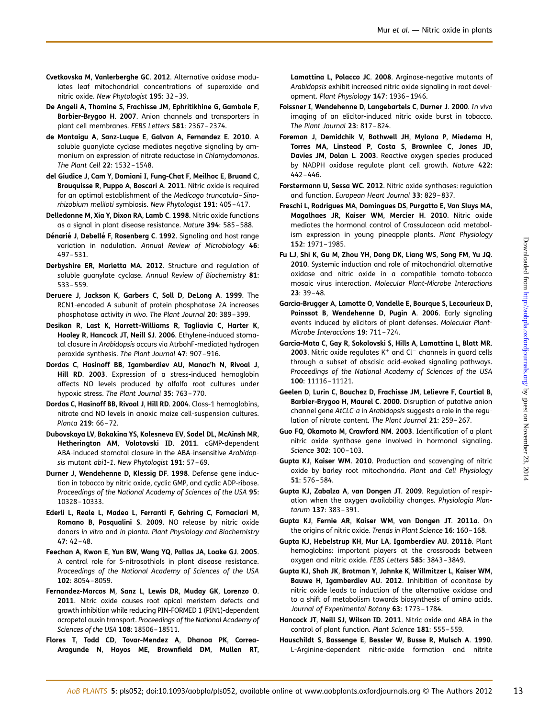- <span id="page-12-0"></span>Cvetkovska M, Vanlerberghe GC. 2012. Alternative oxidase modulates leaf mitochondrial concentrations of superoxide and nitric oxide. New Phytologist 195: 32–39.
- De Angeli A, Thomine S, Frachisse JM, Ephritikhine G, Gambale F, Barbier-Brygoo H. 2007. Anion channels and transporters in plant cell membranes. FEBS Letters 581: 2367–2374.
- de Montaigu A, Sanz-Luque E, Galvan A, Fernandez E. 2010. A soluble guanylate cyclase mediates negative signaling by ammonium on expression of nitrate reductase in Chlamydomonas. The Plant Cell 22: 1532–1548.
- del Giudice J, Cam Y, Damiani I, Fung-Chat F, Meilhoc E, Bruand C, Brouquisse R, Puppo A, Boscari A. 2011. Nitric oxide is required for an optimal establishment of the Medicago truncatula–Sinorhizobium meliloti symbiosis. New Phytologist 191: 405–417.
- Delledonne M, Xia Y, Dixon RA, Lamb C. 1998. Nitric oxide functions as a signal in plant disease resistance. Nature 394: 585–588.
- Dénarié J, Debellé F, Rosenberg C. 1992. Signaling and host range variation in nodulation. Annual Review of Microbiology 46: 497–531.
- Derbyshire ER, Marletta MA. 2012. Structure and regulation of soluble guanylate cyclase. Annual Review of Biochemistry 81: 533–559.
- Deruere J, Jackson K, Garbers C, Soll D, DeLong A. 1999. The RCN1-encoded A subunit of protein phosphatase 2A increases phosphatase activity in vivo. The Plant Journal 20: 389–399.
- Desikan R, Last K, Harrett-Williams R, Tagliavia C, Harter K, Hooley R, Hancock JT, Neill SJ. 2006. Ethylene-induced stomatal closure in Arabidopsis occurs via AtrbohF-mediated hydrogen peroxide synthesis. The Plant Journal 47: 907–916.
- Dordas C, Hasinoff BB, Igamberdiev AU, Manac'h N, Rivoal J, Hill RD. 2003. Expression of a stress-induced hemoglobin affects NO levels produced by alfalfa root cultures under hypoxic stress. The Plant Journal 35: 763–770.
- Dordas C, Hasinoff BB, Rivoal J, Hill RD. 2004. Class-1 hemoglobins, nitrate and NO levels in anoxic maize cell-suspension cultures. Planta 219: 66–72.
- Dubovskaya LV, Bakakina YS, Kolesneva EV, Sodel DL, McAinsh MR, Hetherington AM, Volotovski ID. 2011. cGMP-dependent ABA-induced stomatal closure in the ABA-insensitive Arabidopsis mutant abi1-1. New Phytologist 191: 57-69.
- Durner J, Wendehenne D, Klessig DF. 1998. Defense gene induction in tobacco by nitric oxide, cyclic GMP, and cyclic ADP-ribose. Proceedings of the National Academy of Sciences of the USA 95: 10328–10333.
- Ederli L, Reale L, Madeo L, Ferranti F, Gehring C, Fornaciari M, Romano B, Pasqualini S. 2009. NO release by nitric oxide donors in vitro and in planta. Plant Physiology and Biochemistry 47: 42–48.
- Feechan A, Kwon E, Yun BW, Wang YQ, Pallas JA, Loake GJ. 2005. A central role for S-nitrosothiols in plant disease resistance. Proceedings of the National Academy of Sciences of the USA 102: 8054–8059.
- Fernandez-Marcos M, Sanz L, Lewis DR, Muday GK, Lorenzo O. 2011. Nitric oxide causes root apical meristem defects and growth inhibition while reducing PIN-FORMED 1 (PIN1)-dependent acropetal auxin transport. Proceedings of the National Academy of Sciences of the USA 108: 18506–18511.
- Flores T, Todd CD, Tovar-Mendez A, Dhanoa PK, Correa-Aragunde N, Hoyos ME, Brownfield DM, Mullen RT,

Lamattina L, Polacco JC. 2008. Arginase-negative mutants of Arabidopsis exhibit increased nitric oxide signaling in root development. Plant Physiology 147: 1936–1946.

- Foissner I, Wendehenne D, Langebartels C, Durner J. 2000. In vivo imaging of an elicitor-induced nitric oxide burst in tobacco. The Plant Journal 23: 817–824.
- Foreman J, Demidchik V, Bothwell JH, Mylona P, Miedema H, Torres MA, Linstead P, Costa S, Brownlee C, Jones JD, Davies JM, Dolan L. 2003. Reactive oxygen species produced by NADPH oxidase regulate plant cell growth. Nature 422: 442–446.
- Forstermann U, Sessa WC. 2012. Nitric oxide synthases: regulation and function. European Heart Journal 33: 829–837.
- Freschi L, Rodrigues MA, Domingues DS, Purgatto E, Van Sluys MA, Magalhaes JR, Kaiser WM, Mercier H. 2010. Nitric oxide mediates the hormonal control of Crassulacean acid metabolism expression in young pineapple plants. Plant Physiology 152: 1971–1985.
- Fu LJ, Shi K, Gu M, Zhou YH, Dong DK, Liang WS, Song FM, Yu JQ. 2010. Systemic induction and role of mitochondrial alternative oxidase and nitric oxide in a compatible tomato-tobacco mosaic virus interaction. Molecular Plant-Microbe Interactions 23: 39–48.
- Garcia-Brugger A, Lamotte O, Vandelle E, Bourque S, Lecourieux D, Poinssot B, Wendehenne D, Pugin A. 2006. Early signaling events induced by elicitors of plant defenses. Molecular Plant-Microbe Interactions 19: 711–724.
- Garcia-Mata C, Gay R, Sokolovski S, Hills A, Lamattina L, Blatt MR. 2003. Nitric oxide regulates  $K^+$  and  $Cl^-$  channels in guard cells through a subset of abscisic acid-evoked signaling pathways. Proceedings of the National Academy of Sciences of the USA 100: 11116–11121.
- Geelen D, Lurin C, Bouchez D, Frachisse JM, Lelievre F, Courtial B, Barbier-Brygoo H, Maurel C. 2000. Disruption of putative anion channel gene AtCLC-a in Arabidopsis suggests a role in the regulation of nitrate content. The Plant Journal 21: 259–267.
- Guo FQ, Okamoto M, Crawford NM. 2003. Identification of a plant nitric oxide synthase gene involved in hormonal signaling. Science 302: 100–103.
- Gupta KJ, Kaiser WM. 2010. Production and scavenging of nitric oxide by barley root mitochondria. Plant and Cell Physiology 51: 576–584.
- Gupta KJ, Zabalza A, van Dongen JT. 2009. Regulation of respiration when the oxygen availability changes. Physiologia Plantarum 137: 383–391.
- Gupta KJ, Fernie AR, Kaiser WM, van Dongen JT. 2011a. On the origins of nitric oxide. Trends in Plant Science 16: 160–168.
- Gupta KJ, Hebelstrup KH, Mur LA, Igamberdiev AU. 2011b. Plant hemoglobins: important players at the crossroads between oxygen and nitric oxide. FEBS Letters 585: 3843–3849.
- Gupta KJ, Shah JK, Brotman Y, Jahnke K, Willmitzer L, Kaiser WM, Bauwe H, Igamberdiev AU. 2012. Inhibition of aconitase by nitric oxide leads to induction of the alternative oxidase and to a shift of metabolism towards biosynthesis of amino acids. Journal of Experimental Botany 63: 1773-1784.
- Hancock JT, Neill SJ, Wilson ID. 2011. Nitric oxide and ABA in the control of plant function. Plant Science 181: 555–559.
- Hauschildt S, Bassenge E, Bessler W, Busse R, Mulsch A. 1990. L-Arginine-dependent nitric-oxide formation and nitrite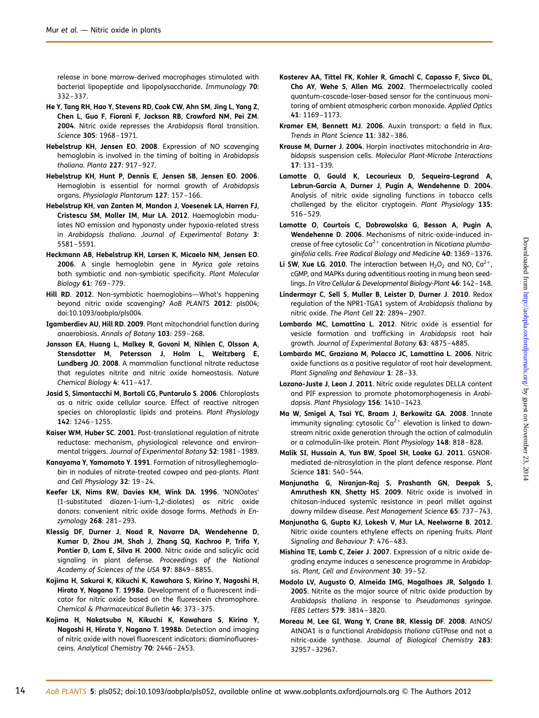<span id="page-13-0"></span>release in bone marrow-derived macrophages stimulated with bacterial lipopeptide and lipopolysaccharide. Immunology 70: 332–337.

- He Y, Tang RH, Hao Y, Stevens RD, Cook CW, Ahn SM, Jing L, Yang Z, Chen L, Guo F, Fiorani F, Jackson RB, Crawford NM, Pei ZM. 2004. Nitric oxide represses the Arabidopsis floral transition. Science 305: 1968–1971.
- Hebelstrup KH, Jensen EO. 2008. Expression of NO scavenging hemoglobin is involved in the timing of bolting in Arabidopsis thaliana. Planta 227: 917–927.
- Hebelstrup KH, Hunt P, Dennis E, Jensen SB, Jensen EO. 2006. Hemoglobin is essential for normal growth of Arabidopsis organs. Physiologia Plantarum 127: 157–166.
- Hebelstrup KH, van Zanten M, Mandon J, Voesenek LA, Harren FJ, Cristescu SM, Moller IM, Mur LA. 2012. Haemoglobin modulates NO emission and hyponasty under hypoxia-related stress in Arabidopsis thaliana. Journal of Experimental Botany 3: 5581–5591.
- Heckmann AB, Hebelstrup KH, Larsen K, Micaelo NM, Jensen EO. 2006. A single hemoglobin gene in Myrica gale retains both symbiotic and non-symbiotic specificity. Plant Molecular Biology 61: 769–779.
- Hill RD. 2012. Non-symbiotic haemoglobins—What's happening beyond nitric oxide scavenging? AoB PLANTS 2012: pls004; doi:10.1093/aobpla/pls004.
- Igamberdiev AU, Hill RD. 2009. Plant mitochondrial function during anaerobiosis. Annals of Botany 103: 259–268.
- Jansson EA, Huang L, Malkey R, Govoni M, Nihlen C, Olsson A, Stensdotter M, Petersson J, Holm L, Weitzberg E, Lundberg JO. 2008. A mammalian functional nitrate reductase that regulates nitrite and nitric oxide homeostasis. Nature Chemical Biology 4: 411–417.
- Jasid S, Simontacchi M, Bartoli CG, Puntarulo S. 2006. Chloroplasts as a nitric oxide cellular source. Effect of reactive nitrogen species on chloroplastic lipids and proteins. Plant Physiology 142: 1246–1255.
- Kaiser WM, Huber SC. 2001. Post-translational regulation of nitrate reductase: mechanism, physiological relevance and environmental triggers. Journal of Experimental Botany 52: 1981–1989.
- Kanayama Y, Yamamoto Y. 1991. Formation of nitrosylleghemoglobin in nodules of nitrate-treated cowpea and pea-plants. Plant and Cell Physiology 32: 19–24.
- Keefer LK, Nims RW, Davies KM, Wink DA. 1996. 'NONOates' (1-substituted diazen-1-ium-1,2-diolates) as nitric oxide donors: convenient nitric oxide dosage forms. Methods in Enzymology 268: 281–293.
- Klessig DF, Durner J, Noad R, Navarre DA, Wendehenne D, Kumar D, Zhou JM, Shah J, Zhang SQ, Kachroo P, Trifa Y, Pontier D, Lam E, Silva H. 2000. Nitric oxide and salicylic acid signaling in plant defense. Proceedings of the National Academy of Sciences of the USA 97: 8849–8855.
- Kojima H, Sakurai K, Kikuchi K, Kawahara S, Kirino Y, Nagoshi H, Hirata Y, Nagano T. 1998a. Development of a fluorescent indicator for nitric oxide based on the fluorescein chromophore. Chemical & Pharmaceutical Bulletin 46: 373–375.
- Kojima H, Nakatsubo N, Kikuchi K, Kawahara S, Kirino Y, Nagoshi H, Hirata Y, Nagano T. 1998b. Detection and imaging of nitric oxide with novel fluorescent indicators: diaminofluoresceins. Analytical Chemistry 70: 2446–2453.
- Kosterev AA, Tittel FK, Kohler R, Gmachl C, Capasso F, Sivco DL, Cho AY, Wehe S, Allen MG. 2002. Thermoelectrically cooled quantum-cascade-laser-based sensor for the continuous monitoring of ambient atmospheric carbon monoxide. Applied Optics 41: 1169–1173.
- Kramer EM, Bennett MJ. 2006. Auxin transport: a field in flux. Trends in Plant Science 11: 382–386.
- Krause M, Durner J. 2004. Harpin inactivates mitochondria in Arabidopsis suspension cells. Molecular Plant-Microbe Interactions 17: 131–139.
- Lamotte O, Gould K, Lecourieux D, Sequeira-Legrand A, Lebrun-Garcia A, Durner J, Pugin A, Wendehenne D. 2004. Analysis of nitric oxide signaling functions in tobacco cells challenged by the elicitor cryptogein. Plant Physiology 135: 516–529.
- Lamotte O, Courtois C, Dobrowolska G, Besson A, Pugin A, Wendehenne D. 2006. Mechanisms of nitric-oxide-induced increase of free cytosolic  $Ca^{2+}$  concentration in Nicotiana plumbaginifolia cells. Free Radical Biology and Medicine 40: 1369–1376.
- Li SW, Xue LG. 2010. The interaction between  $H_2O_2$  and NO,  $Ca^{2+}$ , cGMP, and MAPKs during adventitious rooting in mung bean seedlings. In Vitro Cellular & Developmental Biology-Plant 46: 142–148.
- Lindermayr C, Sell S, Muller B, Leister D, Durner J. 2010. Redox regulation of the NPR1-TGA1 system of Arabidopsis thaliana by nitric oxide. The Plant Cell 22: 2894–2907.
- Lombardo MC, Lamattina L. 2012. Nitric oxide is essential for vesicle formation and trafficking in Arabidopsis root hair growth. Journal of Experimental Botany 63: 4875–4885.
- Lombardo MC, Graziano M, Polacco JC, Lamattina L. 2006. Nitric oxide functions as a positive regulator of root hair development. Plant Signaling and Behaviour 1: 28-33.
- Lozano-Juste J, Leon J. 2011. Nitric oxide regulates DELLA content and PIF expression to promote photomorphogenesis in Arabidopsis. Plant Physiology 156: 1410–1423.
- Ma W, Smigel A, Tsai YC, Braam J, Berkowitz GA. 2008. Innate immunity signaling: cytosolic  $Ca^{2+}$  elevation is linked to downstream nitric oxide generation through the action of calmodulin or a calmodulin-like protein. Plant Physiology 148: 818–828.
- Malik SI, Hussain A, Yun BW, Spoel SH, Loake GJ. 2011. GSNORmediated de-nitrosylation in the plant defence response. Plant Science 181: 540–544.
- Manjunatha G, Niranjan-Raj S, Prashanth GN, Deepak S, Amruthesh KN, Shetty HS. 2009. Nitric oxide is involved in chitosan-induced systemic resistance in pearl millet against downy mildew disease. Pest Management Science 65: 737–743.
- Manjunatha G, Gupta KJ, Lokesh V, Mur LA, Neelwarne B. 2012. Nitric oxide counters ethylene effects on ripening fruits. Plant Signaling and Behaviour 7: 476–483.
- Mishina TE, Lamb C, Zeier J. 2007. Expression of a nitric oxide degrading enzyme induces a senescence programme in Arabidopsis. Plant, Cell and Environment 30: 39–52.
- Modolo LV, Augusto O, Almeida IMG, Magalhaes JR, Salgado I. 2005. Nitrite as the major source of nitric oxide production by Arabidopsis thaliana in response to Pseudomonas syringae. FEBS Letters 579: 3814–3820.
- Moreau M, Lee GI, Wang Y, Crane BR, Klessig DF. 2008. AtNOS/ AtNOA1 is a functional Arabidopsis thaliana cGTPase and not a nitric-oxide synthase. Journal of Biological Chemistry 283: 32957–32967.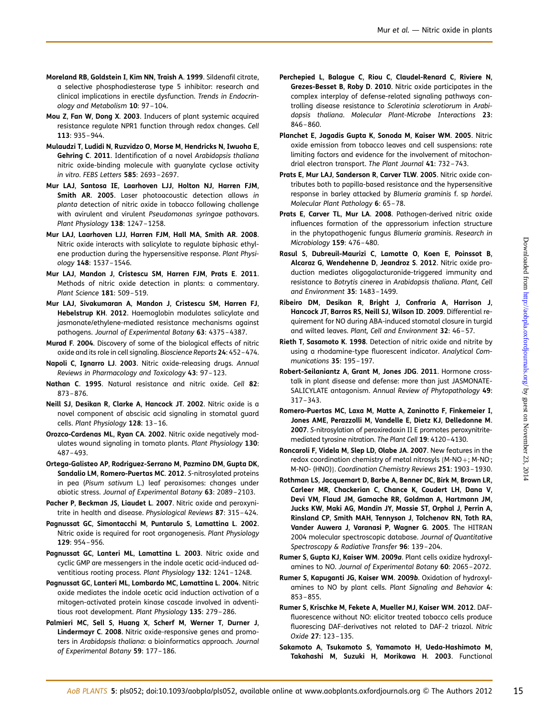- <span id="page-14-0"></span>Moreland RB, Goldstein I, Kim NN, Traish A. 1999. Sildenafil citrate, a selective phosphodiesterase type 5 inhibitor: research and clinical implications in erectile dysfunction. Trends in Endocrinology and Metabolism 10: 97–104.
- Mou Z, Fan W, Dong X. 2003. Inducers of plant systemic acquired resistance regulate NPR1 function through redox changes. Cell 113: 935–944.
- Mulaudzi T, Ludidi N, Ruzvidzo O, Morse M, Hendricks N, Iwuoha E, Gehring C. 2011. Identification of a novel Arabidopsis thaliana nitric oxide-binding molecule with guanylate cyclase activity in vitro. FEBS Letters 585: 2693–2697.
- Mur LAJ, Santosa IE, Laarhoven LJJ, Holton NJ, Harren FJM, Smith AR. 2005. Laser photoacoustic detection allows in planta detection of nitric oxide in tobacco following challenge with avirulent and virulent Pseudomonas syringae pathovars. Plant Physiology 138: 1247–1258.
- Mur LAJ, Laarhoven LJJ, Harren FJM, Hall MA, Smith AR. 2008. Nitric oxide interacts with salicylate to regulate biphasic ethylene production during the hypersensitive response. Plant Physiology 148: 1537–1546.
- Mur LAJ, Mandon J, Cristescu SM, Harren FJM, Prats E. 2011. Methods of nitric oxide detection in plants: a commentary. Plant Science 181: 509–519.
- Mur LAJ, Sivakumaran A, Mandon J, Cristescu SM, Harren FJ, Hebelstrup KH. 2012. Haemoglobin modulates salicylate and jasmonate/ethylene-mediated resistance mechanisms against pathogens. Journal of Experimental Botany 63: 4375–4387.
- Murad F. 2004. Discovery of some of the biological effects of nitric oxide and its role in cell signaling. Bioscience Reports 24: 452–474.
- Napoli C, Ignarro LJ. 2003. Nitric oxide-releasing drugs. Annual Reviews in Pharmacology and Toxicology 43: 97–123.
- Nathan C. 1995. Natural resistance and nitric oxide. Cell 82: 873–876.
- Neill SJ, Desikan R, Clarke A, Hancock JT. 2002. Nitric oxide is a novel component of abscisic acid signaling in stomatal guard cells. Plant Physiology 128: 13-16.
- Orozco-Cardenas ML, Ryan CA. 2002. Nitric oxide negatively modulates wound signaling in tomato plants. Plant Physiology 130: 487–493.
- Ortega-Galisteo AP, Rodriguez-Serrano M, Pazmino DM, Gupta DK, Sandalio LM, Romero-Puertas MC. 2012. S-nitrosylated proteins in pea (Pisum sativum L.) leaf peroxisomes: changes under abiotic stress. Journal of Experimental Botany 63: 2089–2103.
- Pacher P, Beckman JS, Liaudet L. 2007. Nitric oxide and peroxynitrite in health and disease. Physiological Reviews 87: 315–424.
- Pagnussat GC, Simontacchi M, Puntarulo S, Lamattina L. 2002. Nitric oxide is required for root organogenesis. Plant Physiology 129: 954–956.
- Pagnussat GC, Lanteri ML, Lamattina L. 2003. Nitric oxide and cyclic GMP are messengers in the indole acetic acid-induced adventitious rooting process. Plant Physiology 132: 1241–1248.
- Pagnussat GC, Lanteri ML, Lombardo MC, Lamattina L. 2004. Nitric oxide mediates the indole acetic acid induction activation of a mitogen-activated protein kinase cascade involved in adventitious root development. Plant Physiology 135: 279–286.
- Palmieri MC, Sell S, Huang X, Scherf M, Werner T, Durner J, Lindermayr C. 2008. Nitric oxide-responsive genes and promoters in Arabidopsis thaliana: a bioinformatics approach. Journal of Experimental Botany 59: 177–186.
- Perchepied L, Balague C, Riou C, Claudel-Renard C, Riviere N, Grezes-Besset B, Roby D. 2010. Nitric oxide participates in the complex interplay of defense-related signaling pathways controlling disease resistance to Sclerotinia sclerotiorum in Arabidopsis thaliana. Molecular Plant-Microbe Interactions 23: 846–860.
- Planchet E, Jagadis Gupta K, Sonoda M, Kaiser WM. 2005. Nitric oxide emission from tobacco leaves and cell suspensions: rate limiting factors and evidence for the involvement of mitochondrial electron transport. The Plant Journal 41: 732–743.
- Prats E, Mur LAJ, Sanderson R, Carver TLW. 2005. Nitric oxide contributes both to papilla-based resistance and the hypersensitive response in barley attacked by Blumeria graminis f. sp hordei. Molecular Plant Pathology 6: 65–78.
- Prats E, Carver TL, Mur LA. 2008. Pathogen-derived nitric oxide influences formation of the appressorium infection structure in the phytopathogenic fungus Blumeria graminis. Research in Microbiology 159: 476–480.
- Rasul S, Dubreuil-Maurizi C, Lamotte O, Koen E, Poinssot B, Alcaraz G, Wendehenne D, Jeandroz S. 2012. Nitric oxide production mediates oligogalacturonide-triggered immunity and resistance to Botrytis cinerea in Arabidopsis thaliana. Plant, Cell and Environment 35: 1483–1499.
- Ribeiro DM, Desikan R, Bright J, Confraria A, Harrison J, Hancock JT, Barros RS, Neill SJ, Wilson ID. 2009. Differential requirement for NO during ABA-induced stomatal closure in turgid and wilted leaves. Plant, Cell and Environment 32: 46–57.
- Rieth T, Sasamoto K. 1998. Detection of nitric oxide and nitrite by using a rhodamine-type fluorescent indicator. Analytical Communications 35: 195–197.
- Robert-Seilaniantz A, Grant M, Jones JDG. 2011. Hormone crosstalk in plant disease and defense: more than just JASMONATE-SALICYLATE antagonism. Annual Review of Phytopathology 49: 317–343.
- Romero-Puertas MC, Laxa M, Matte A, Zaninotto F, Finkemeier I, Jones AME, Perazzolli M, Vandelle E, Dietz KJ, Delledonne M. 2007. S-nitrosylation of peroxiredoxin II E promotes peroxynitritemediated tyrosine nitration. The Plant Cell 19: 4120–4130.
- Roncaroli F, Videla M, Slep LD, Olabe JA. 2007. New features in the redox coordination chemistry of metal nitrosyls {M-NO+; M-NO; M-NO- (HNO)}. Coordination Chemistry Reviews 251: 1903–1930.
- Rothman LS, Jacquemart D, Barbe A, Benner DC, Birk M, Brown LR, Carleer MR, Chackerian C, Chance K, Coudert LH, Dana V, Devi VM, Flaud JM, Gamache RR, Goldman A, Hartmann JM, Jucks KW, Maki AG, Mandin JY, Massie ST, Orphal J, Perrin A, Rinsland CP, Smith MAH, Tennyson J, Tolchenov RN, Toth RA, Vander Auwera J, Varanasi P, Wagner G. 2005. The HITRAN 2004 molecular spectroscopic database. Journal of Quantitative Spectroscopy & Radiative Transfer 96: 139–204.
- Rumer S, Gupta KJ, Kaiser WM. 2009a. Plant cells oxidize hydroxylamines to NO. Journal of Experimental Botany 60: 2065–2072.
- Rumer S, Kapuganti JG, Kaiser WM. 2009b. Oxidation of hydroxylamines to NO by plant cells. Plant Signaling and Behavior 4: 853–855.
- Rumer S, Krischke M, Fekete A, Mueller MJ, Kaiser WM. 2012. DAFfluorescence without NO: elicitor treated tobacco cells produce fluorescing DAF-derivatives not related to DAF-2 triazol. Nitric Oxide 27: 123–135.
- Sakamoto A, Tsukamoto S, Yamamoto H, Ueda-Hashimoto M, Takahashi M, Suzuki H, Morikawa H. 2003. Functional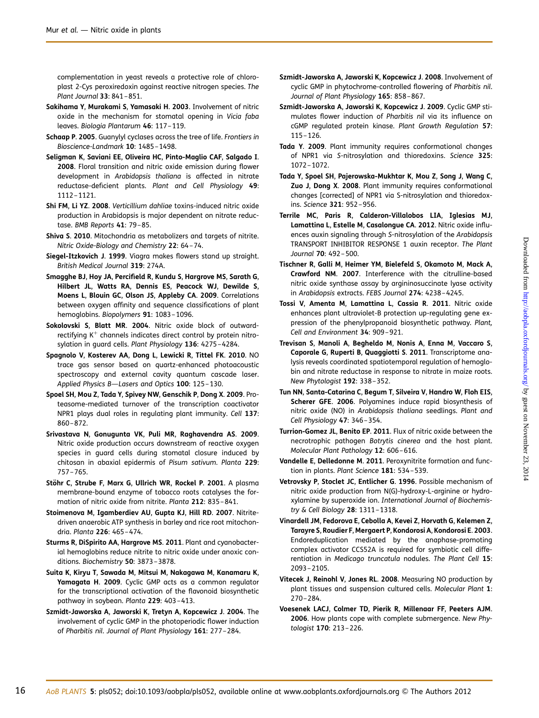<span id="page-15-0"></span>complementation in yeast reveals a protective role of chloroplast 2-Cys peroxiredoxin against reactive nitrogen species. The Plant Journal 33: 841–851.

- Sakihama Y, Murakami S, Yamasaki H. 2003. Involvement of nitric oxide in the mechanism for stomatal opening in Vicia faba leaves. Biologia Plantarum 46: 117–119.
- Schaap P. 2005. Guanylyl cyclases across the tree of life. Frontiers in Bioscience-Landmark 10: 1485–1498.
- Seligman K, Saviani EE, Oliveira HC, Pinto-Maglio CAF, Salgado I. 2008. Floral transition and nitric oxide emission during flower development in Arabidopsis thaliana is affected in nitrate reductase-deficient plants. Plant and Cell Physiology 49: 1112–1121.
- Shi FM, Li YZ. 2008. Verticillium dahliae toxins-induced nitric oxide production in Arabidopsis is major dependent on nitrate reductase. BMB Reports 41: 79–85.
- Shiva S. 2010. Mitochondria as metabolizers and targets of nitrite. Nitric Oxide-Biology and Chemistry 22: 64–74.
- Siegel-Itzkovich J. 1999. Viagra makes flowers stand up straight. British Medical Journal 319: 274A.
- Smagghe BJ, Hoy JA, Percifield R, Kundu S, Hargrove MS, Sarath G, Hilbert JL, Watts RA, Dennis ES, Peacock WJ, Dewilde S, Moens L, Blouin GC, Olson JS, Appleby CA. 2009. Correlations between oxygen affinity and sequence classifications of plant hemoglobins. Biopolymers 91: 1083-1096.
- Sokolovski S, Blatt MR. 2004. Nitric oxide block of outwardrectifying  $K^+$  channels indicates direct control by protein nitrosylation in guard cells. Plant Physiology 136: 4275–4284.
- Spagnolo V, Kosterev AA, Dong L, Lewicki R, Tittel FK. 2010. NO trace gas sensor based on quartz-enhanced photoacoustic spectroscopy and external cavity quantum cascade laser. Applied Physics B-Lasers and Optics 100: 125-130.
- Spoel SH, Mou Z, Tada Y, Spivey NW, Genschik P, Dong X. 2009. Proteasome-mediated turnover of the transcription coactivator NPR1 plays dual roles in regulating plant immunity. Cell 137: 860–872.
- Srivastava N, Gonugunta VK, Puli MR, Raghavendra AS. 2009. Nitric oxide production occurs downstream of reactive oxygen species in guard cells during stomatal closure induced by chitosan in abaxial epidermis of Pisum sativum. Planta 229: 757–765.
- Stöhr C, Strube F, Marx G, Ullrich WR, Rockel P. 2001. A plasma membrane-bound enzyme of tobacco roots catalyses the formation of nitric oxide from nitrite. Planta 212: 835–841.
- Stoimenova M, Igamberdiev AU, Gupta KJ, Hill RD. 2007. Nitritedriven anaerobic ATP synthesis in barley and rice root mitochondria. Planta 226: 465–474.
- Sturms R, DiSpirito AA, Hargrove MS. 2011. Plant and cyanobacterial hemoglobins reduce nitrite to nitric oxide under anoxic conditions. Biochemistry 50: 3873–3878.
- Suita K, Kiryu T, Sawada M, Mitsui M, Nakagawa M, Kanamaru K, Yamagata H. 2009. Cyclic GMP acts as a common regulator for the transcriptional activation of the flavonoid biosynthetic pathway in soybean. Planta 229: 403–413.
- Szmidt-Jaworska A, Jaworski K, Tretyn A, Kopcewicz J. 2004. The involvement of cyclic GMP in the photoperiodic flower induction of Pharbitis nil. Journal of Plant Physiology 161: 277–284.
- Szmidt-Jaworska A, Jaworski K, Kopcewicz J. 2008. Involvement of cyclic GMP in phytochrome-controlled flowering of Pharbitis nil. Journal of Plant Physiology 165: 858-867.
- Szmidt-Jaworska A, Jaworski K, Kopcewicz J. 2009. Cyclic GMP stimulates flower induction of Pharbitis nil via its influence on cGMP regulated protein kinase. Plant Growth Regulation 57: 115–126.
- Tada Y. 2009. Plant immunity requires conformational changes of NPR1 via S-nitrosylation and thioredoxins. Science 325: 1072–1072.
- Tada Y, Spoel SH, Pajerowska-Mukhtar K, Mou Z, Song J, Wang C, Zuo J, Dong X. 2008. Plant immunity requires conformational changes [corrected] of NPR1 via S-nitrosylation and thioredoxins. Science 321: 952–956.
- Terrile MC, Paris R, Calderon-Villalobos LIA, Iglesias MJ, Lamattina L, Estelle M, Casalongue CA. 2012. Nitric oxide influences auxin signaling through S-nitrosylation of the Arabidopsis TRANSPORT INHIBITOR RESPONSE 1 auxin receptor. The Plant Journal 70: 492–500.
- Tischner R, Galli M, Heimer YM, Bielefeld S, Okamoto M, Mack A, Crawford NM. 2007. Interference with the citrulline-based nitric oxide synthase assay by argininosuccinate lyase activity in Arabidopsis extracts. FEBS Journal 274: 4238–4245.
- Tossi V, Amenta M, Lamattina L, Cassia R. 2011. Nitric oxide enhances plant ultraviolet-B protection up-regulating gene expression of the phenylpropanoid biosynthetic pathway. Plant, Cell and Environment 34: 909–921.
- Trevisan S, Manoli A, Begheldo M, Nonis A, Enna M, Vaccaro S, Caporale G, Ruperti B, Quaggiotti S. 2011. Transcriptome analysis reveals coordinated spatiotemporal regulation of hemoglobin and nitrate reductase in response to nitrate in maize roots. New Phytologist 192: 338–352.
- Tun NN, Santa-Catarina C, Begum T, Silveira V, Handro W, Floh EIS, Scherer GFE. 2006. Polyamines induce rapid biosynthesis of nitric oxide (NO) in Arabidopsis thaliana seedlings. Plant and Cell Physiology 47: 346–354.
- Turrion-Gomez JL, Benito EP. 2011. Flux of nitric oxide between the necrotrophic pathogen Botrytis cinerea and the host plant. Molecular Plant Pathology 12: 606–616.
- Vandelle E, Delledonne M. 2011. Peroxynitrite formation and function in plants. Plant Science 181: 534-539.
- Vetrovsky P, Stoclet JC, Entlicher G. 1996. Possible mechanism of nitric oxide production from N(G)-hydroxy-L-arginine or hydroxylamine by superoxide ion. International Journal of Biochemistry & Cell Biology 28: 1311–1318.
- Vinardell JM, Fedorova E, Cebolla A, Kevei Z, Horvath G, Kelemen Z, Tarayre S, Roudier F, Mergaert P, Kondorosi A, Kondorosi E. 2003. Endoreduplication mediated by the anaphase-promoting complex activator CCS52A is required for symbiotic cell differentiation in Medicago truncatula nodules. The Plant Cell 15: 2093–2105.
- Vitecek J, Reinohl V, Jones RL. 2008. Measuring NO production by plant tissues and suspension cultured cells. Molecular Plant 1: 270–284.
- Voesenek LACJ, Colmer TD, Pierik R, Millenaar FF, Peeters AJM. 2006. How plants cope with complete submergence. New Phytologist 170: 213–226.